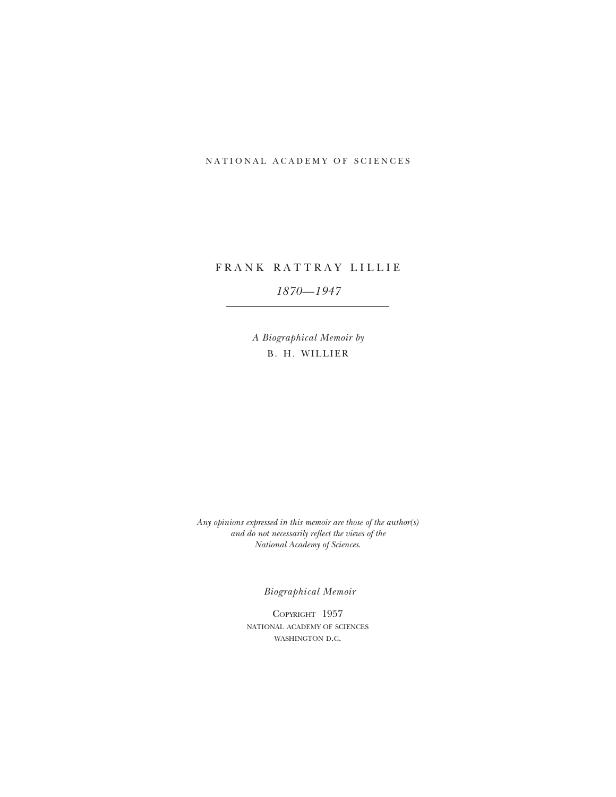# NATIONAL ACADEMY OF SCIENCES

# FRANK RATTRAY LILLIE

# *1870—1947*

*A Biographical Memoir by* B. H. WILLIER

*Any opinions expressed in this memoir are those of the author(s) and do not necessarily reflect the views of the National Academy of Sciences*.

*Biographical Memoir*

Copyright 1957 national academy of sciences WASHINGTON D.C.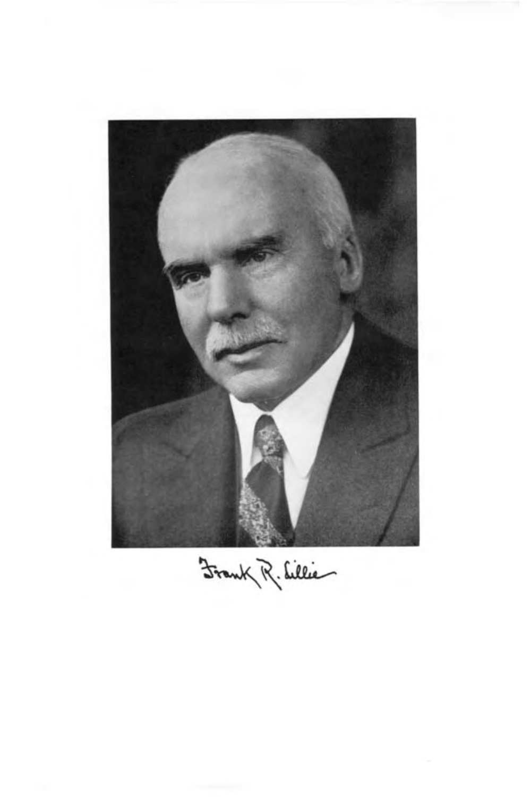

Frank R. Lillie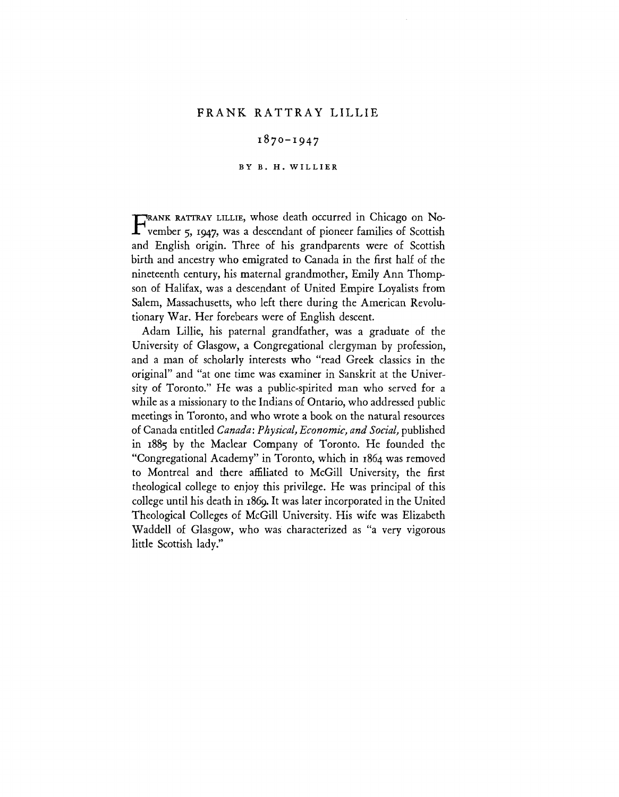# FRANK RATTRAY LILLIE

# 1870-1947

## **BY B. H. WILLIER**

FRANK RATTRAY LILLIE, whose death occurred in Chicago on No-<br>
vember 5, 1947, was a descendant of pioneer families of Scottish vember 5, 1947, was a descendant of pioneer families of Scottish and English origin. Three of his grandparents were of Scottish birth and ancestry who emigrated to Canada in the first half of the nineteenth century, his maternal grandmother, Emily Ann Thompson of Halifax, was a descendant of United Empire Loyalists from Salem, Massachusetts, who left there during the American Revolutionary War. Her forebears were of English descent.

Adam Lillie, his paternal grandfather, was a graduate of the University of Glasgow, a Congregational clergyman by profession, and a man of scholarly interests who "read Greek classics in the original" and "at one time was examiner in Sanskrit at the University of Toronto." He was a public-spirited man who served for a while as a missionary to the Indians of Ontario, who addressed public meetings in Toronto, and who wrote a book on the natural resources of Canada entitled *Canada: Physical, Economic, and Social,* published in 1885 by the Maclear Company of Toronto. He founded the "Congregational Academy" in Toronto, which in 1864 was removed to Montreal and there affiliated to McGill University, the first theological college to enjoy this privilege. He was principal of this college until his death in 1869. It was later incorporated in the United Theological Colleges of McGill University. His wife was Elizabeth Waddell of Glasgow, who was characterized as "a very vigorous little Scottish lady."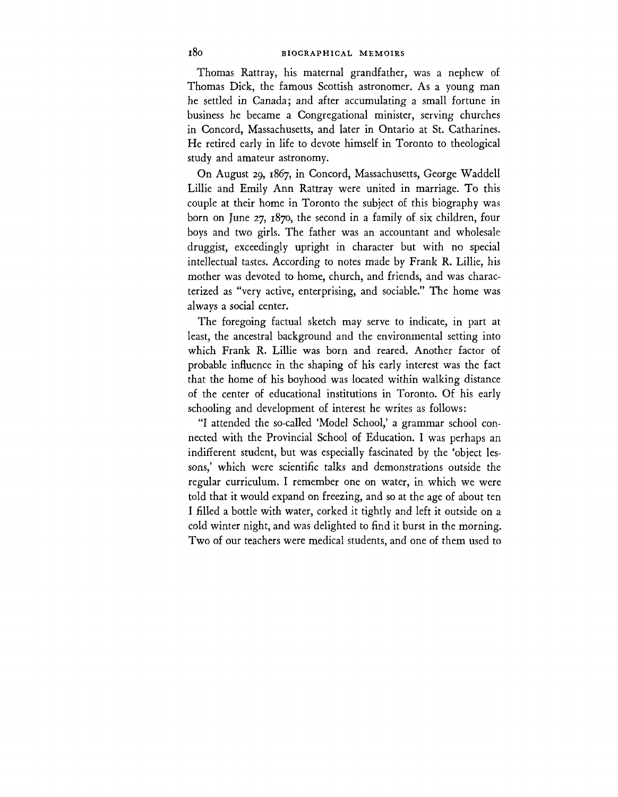Thomas Rattray, his maternal grandfather, was a nephew of Thomas Dick, the famous Scottish astronomer. As a young man he settled in Canada; and after accumulating a small fortune in business he became a Congregational minister, serving churches in Concord, Massachusetts, and later in Ontario at St. Catharines. He retired early in life to devote himself in Toronto to theological study and amateur astronomy.

On August 29, 1867, in Concord, Massachusetts, George Waddell Lillie and Emily Ann Rattray were united in marriage. To this couple at their home in Toronto the subject of this biography was born on June 27, 1870, the second in a family of six children, four boys and two girls. The father was an accountant and wholesale druggist, exceedingly upright in character but with no special intellectual tastes. According to notes made by Frank R. Lillie, his mother was devoted to home, church, and friends, and was characterized as "very active, enterprising, and sociable." The home was always a social center.

The foregoing factual sketch may serve to indicate, in part at least, the ancestral background and the environmental setting into which Frank R. Lillie was born and reared. Another factor of probable influence in the shaping of his early interest was the fact that the home of his boyhood was located within walking distance of the center of educational institutions in Toronto. Of his early schooling and development of interest he writes as follows:

"I attended the so-called 'Model School,' a grammar school connected with the Provincial School of Education. I was perhaps an indifferent student, but was especially fascinated by the 'object lessons,' which were scientific talks and demonstrations outside the regular curriculum. I remember one on water, in which we were told that it would expand on freezing, and so at the age of about ten I filled a bottle with water, corked it tightly and left it outside on a cold winter night, and was delighted to find it burst in the morning. Two of our teachers were medical students, and one of them used to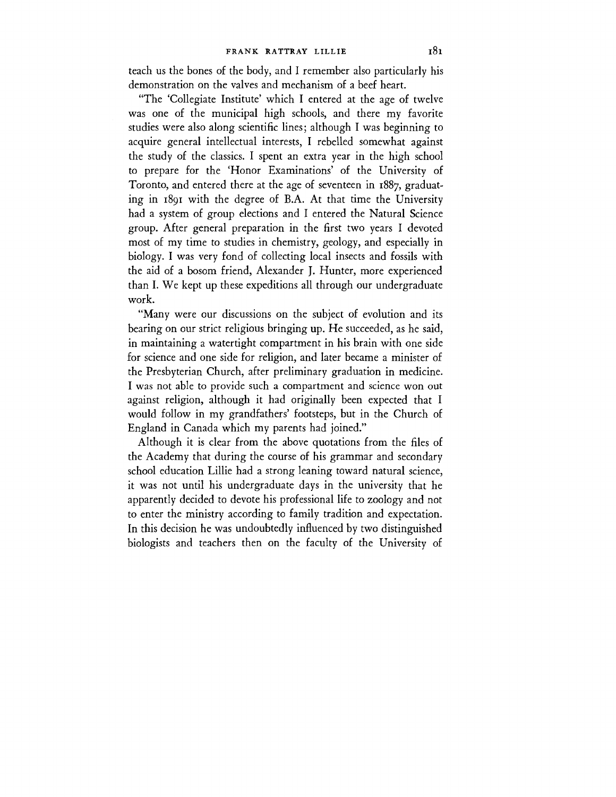teach us the bones of the body, and I remember also particularly his demonstration on the valves and mechanism of a beef heart.

"The 'Collegiate Institute' which I entered at the age of twelve was one of the municipal high schools, and there my favorite studies were also along scientific lines; although I was beginning to acquire general intellectual interests, I rebelled somewhat against the study of the classics. I spent an extra year in the high school to prepare for the 'Honor Examinations' of the University of Toronto, and entered there at the age of seventeen in 1887, graduating in 1891 with the degree of B.A. At that time the University had a system of group elections and I entered the Natural Science group. After general preparation in the first two years I devoted most of my time to studies in chemistry, geology, and especially in biology. I was very fond of collecting local insects and fossils with the aid of a bosom friend, Alexander J. Hunter, more experienced than I. We kept up these expeditions all through our undergraduate work.

"Many were our discussions on the subject of evolution and its bearing on our strict religious bringing up. He succeeded, as he said, in maintaining a watertight compartment in his brain with one side for science and one side for religion, and later became a minister of the Presbyterian Church, after preliminary graduation in medicine. I was not able to provide such a compartment and science won out against religion, although it had originally been expected that I would follow in my grandfathers' footsteps, but in the Church of England in Canada which my parents had joined."

Although it is clear from the above quotations from the files of the Academy that during the course of his grammar and secondary school education Lillie had a strong leaning toward natural science, it was not until his undergraduate days in the university that he apparently decided to devote his professional life to zoology and not to enter the ministry according to family tradition and expectation. In this decision he was undoubtedly influenced by two distinguished biologists and teachers then on the faculty of the University of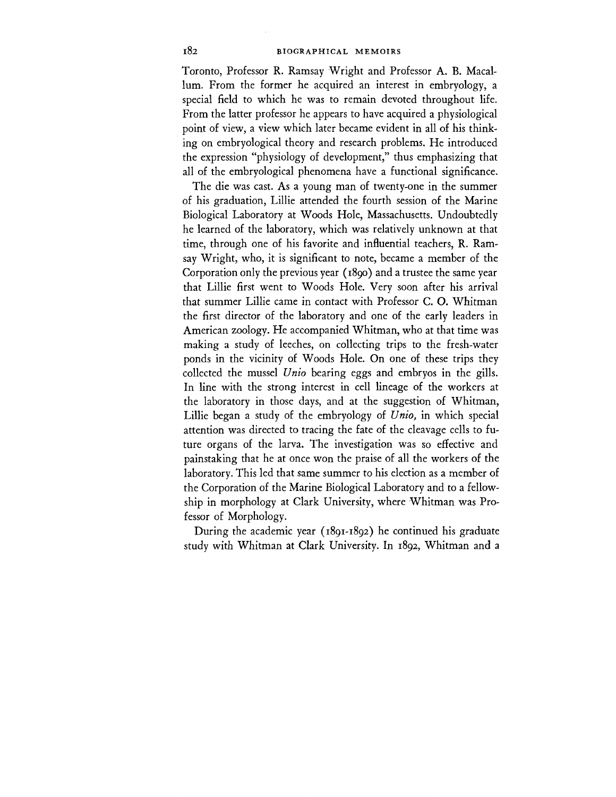Toronto, Professor R. Ramsay Wright and Professor A. B. Macallum. From the former he acquired an interest in embryology, a special field to which he was to remain devoted throughout life. From the latter professor he appears to have acquired a physiological point of view, a view which later became evident in all of his thinking on embryological theory and research problems. He introduced the expression "physiology of development," thus emphasizing that all of the embryological phenomena have a functional significance.

The die was cast. As a young man of twenty-one in the summer of his graduation, Lillie attended the fourth session of the Marine Biological Laboratory at Woods Hole, Massachusetts. Undoubtedly he learned of the laboratory, which was relatively unknown at that time, through one of his favorite and influential teachers, R. Ramsay Wright, who, it is significant to note, became a member of the Corporation only the previous year (1890) and a trustee the same year that Lillie first went to Woods Hole. Very soon after his arrival that summer Lillie came in contact with Professor C. O. Whitman the first director of the laboratory and one of the early leaders in American zoology. He accompanied Whitman, who at that time was making a study of leeches, on collecting trips to the fresh-water ponds in the vicinity of Woods Hole. On one of these trips they collected the mussel *Unto* bearing eggs and embryos in the gills. In line with the strong interest in cell lineage of the workers at the laboratory in those days, and at the suggestion of Whitman, Lillie began a study of the embryology of *Unio,* in which special attention was directed to tracing the fate of the cleavage cells to future organs of the larva. The investigation was so effective and painstaking that he at once won the praise of all the workers of the laboratory. This led that same summer to his election as a member of the Corporation of the Marine Biological Laboratory and to a fellowship in morphology at Clark University, where Whitman was Professor of Morphology.

During the academic year (1891-1892) he continued his graduate study with Whitman at Clark University. In 1892, Whitman and a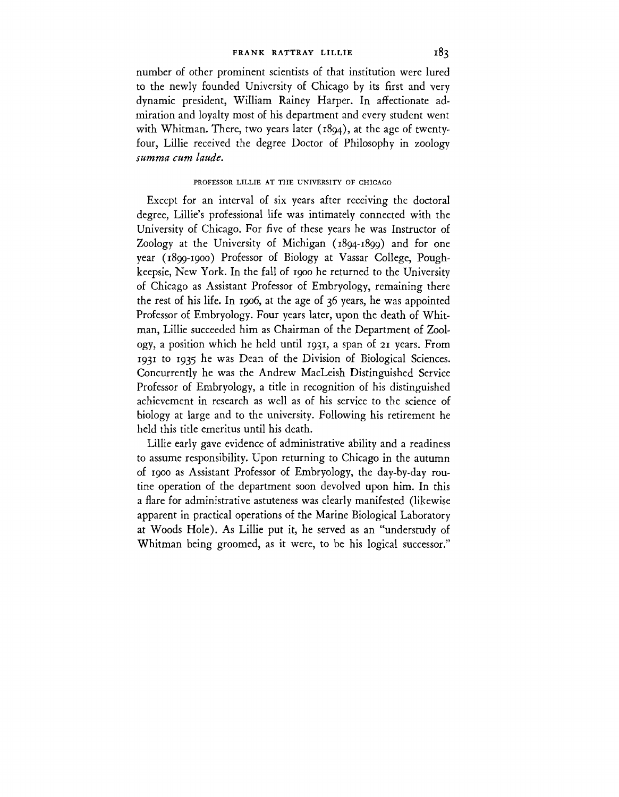number of other prominent scientists of that institution were lured to the newly founded University of Chicago by its first and very dynamic president, William Rainey Harper. In affectionate admiration and loyalty most of his department and every student went with Whitman. There, two years later (1894), at the age of twentyfour, Lillie received the degree Doctor of Philosophy in zoology *sumtna cum laude.*

# PROFESSOR LILLIE AT THE UNIVERSITY OF CHICAGO

Except for an interval of six years after receiving the doctoral degree, Lillie's professional life was intimately connected with the University of Chicago. For five of these years he was Instructor of Zoology at the University of Michigan (1894-1899) and for one year (1899-1900) Professor of Biology at Vassar College, Poughkeepsie, New York. In the fall of 1900 he returned to the University of Chicago as Assistant Professor of Embryology, remaining there the rest of his life. In 1906, at the age of 36 years, he was appointed Professor of Embryology. Four years later, upon the death of Whitman, Lillie succeeded him as Chairman of the Department of Zoology, a position which he held until 1931, a span of 21 years. From 1931 to 1935 he was Dean of the Division of Biological Sciences. Concurrently he was the Andrew MacLeish Distinguished Service Professor of Embryology, a title in recognition of his distinguished achievement in research as well as of his service to the science of biology at large and to the university. Following his retirement he held this title emeritus until his death.

Lillie early gave evidence of administrative ability and a readiness to assume responsibility. Upon returning to Chicago in the autumn of 1900 as Assistant Professor of Embryology, the day-by-day routine operation of the department soon devolved upon him. In this a flare for administrative astuteness was clearly manifested (likewise apparent in practical operations of the Marine Biological Laboratory at Woods Hole). As Lillie put it, he served as an "understudy of Whitman being groomed, as it were, to be his logical successor."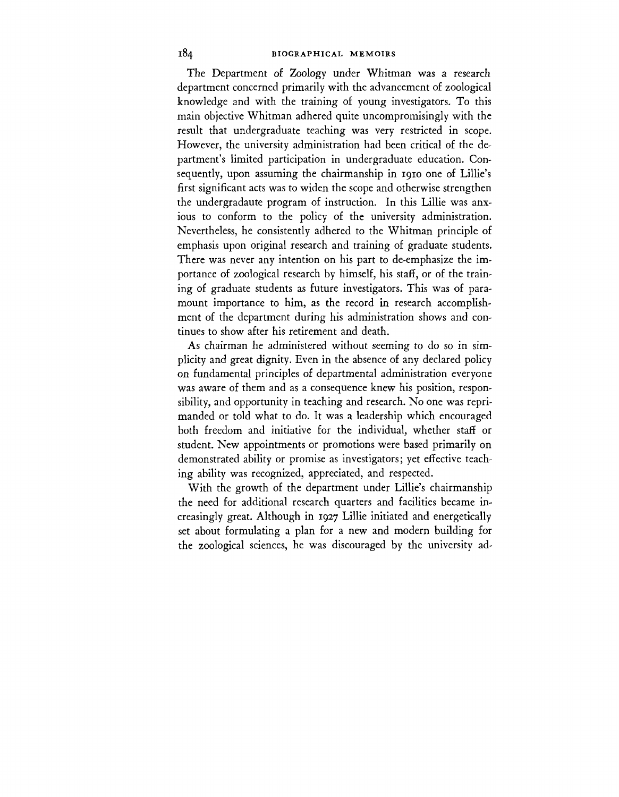The Department of Zoology under Whitman was a research department concerned primarily with the advancement of zoological knowledge and with the training of young investigators. To this main objective Whitman adhered quite uncompromisingly with the result that undergraduate teaching was very restricted in scope. However, the university administration had been critical of the department's limited participation in undergraduate education. Consequently, upon assuming the chairmanship in 1910 one of Lillie's first significant acts was to widen the scope and otherwise strengthen the undergradaute program of instruction. In this Lillie was anxious to conform to the policy of the university administration. Nevertheless, he consistently adhered to the Whitman principle of emphasis upon original research and training of graduate students. There was never any intention on his part to de-emphasize the importance of zoological research by himself, his staff, or of the training of graduate students as future investigators. This was of paramount importance to him, as the record in research accomplishment of the department during his administration shows and continues to show after his retirement and death.

As chairman he administered without seeming to do so in simplicity and great dignity. Even in the absence of any declared policy on fundamental principles of departmental administration everyone was aware of them and as a consequence knew his position, responsibility, and opportunity in teaching and research. No one was reprimanded or told what to do. It was a leadership which encouraged both freedom and initiative for the individual, whether staff or student. New appointments or promotions were based primarily on demonstrated ability or promise as investigators; yet effective teaching ability was recognized, appreciated, and respected.

With the growth of the department under Lillie's chairmanship the need for additional research quarters and facilities became increasingly great. Although in 1927 Lillie initiated and energetically set about formulating a plan for a new and modern building for the zoological sciences, he was discouraged by the university ad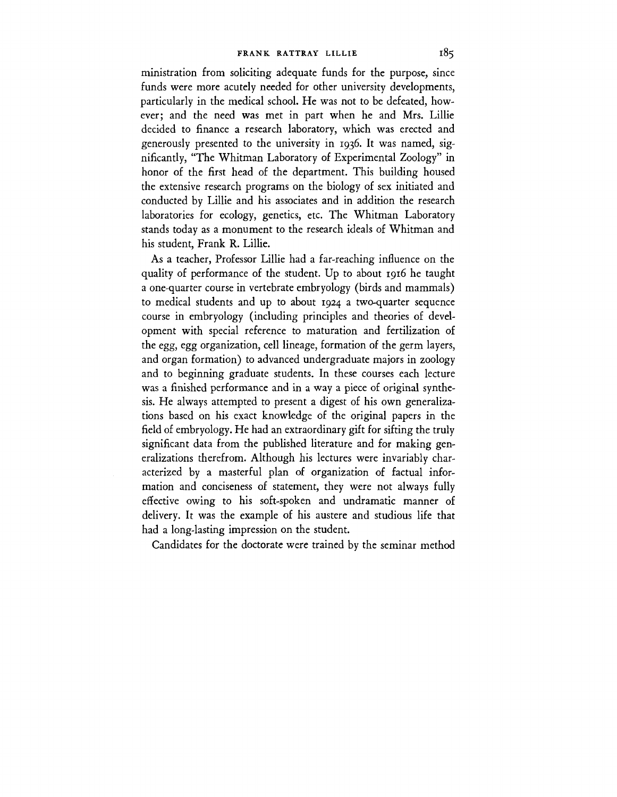ministration from soliciting adequate funds for the purpose, since funds were more acutely needed for other university developments, particularly in the medical school. He was not to be defeated, however; and the need was met in part when he and Mrs. Lillie decided to finance a research laboratory, which was erected and generously presented to the university in 1936. It was named, significantly, "The Whitman Laboratory of Experimental Zoology" in honor of the first head of the department. This building housed the extensive research programs on the biology of sex initiated and conducted by Lillie and his associates and in addition the research laboratories for ecology, genetics, etc. The Whitman Laboratory stands today as a monument to the research ideals of Whitman and his student, Frank R. Lillie.

As a teacher, Professor Lillie had a far-reaching influence on the quality of performance of the student. Up to about 1916 he taught a one-quarter course in vertebrate embryology (birds and mammals) to medical students and up to about 1924 a two-quarter sequence course in embryology (including principles and theories of development with special reference to maturation and fertilization of the egg, egg organization, cell lineage, formation of the germ layers, and organ formation) to advanced undergraduate majors in zoology and to beginning graduate students. In these courses each lecture was a finished performance and in a way a piece of original synthesis. He always attempted to present a digest of his own generalizations based on his exact knowledge of the original papers in the field of embryology. He had an extraordinary gift for sifting the truly significant data from the published literature and for making generalizations therefrom. Although his lectures were invariably characterized by a masterful plan of organization of factual information and conciseness of statement, they were not always fully effective owing to his soft-spoken and undramatic manner of delivery. It was the example of his austere and studious life that had a long-lasting impression on the student.

Candidates for the doctorate were trained by the seminar method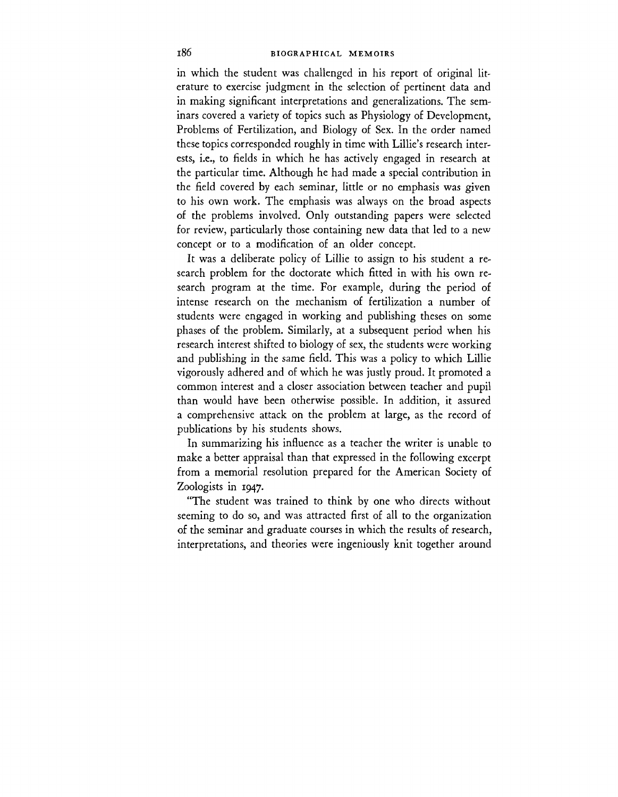in which the student was challenged in his report of original literature to exercise judgment in the selection of pertinent data and in making significant interpretations and generalizations. The seminars covered a variety of topics such as Physiology of Development, Problems of Fertilization, and Biology of Sex. In the order named these topics corresponded roughly in time with Lillie's research interests, i.e., to fields in which he has actively engaged in research at the particular time. Although he had made a special contribution in the field covered by each seminar, little or no emphasis was given to his own work. The emphasis was always on the broad aspects of the problems involved. Only outstanding papers were selected for review, particularly those containing new data that led to a new concept or to a modification of an older concept.

It was a deliberate policy of Lillie to assign to his student a research problem for the doctorate which fitted in with his own research program at the time. For example, during the period of intense research on the mechanism of fertilization a number of students were engaged in working and publishing theses on some phases of the problem. Similarly, at a subsequent period when his research interest shifted to biology of sex, the students were working and publishing in the same field. This was a policy to which Lillie vigorously adhered and of which he was justly proud. It promoted a common interest and a closer association between teacher and pupil than would have been otherwise possible. In addition, it assured a comprehensive attack on the problem at large, as the record of publications by his students shows.

In summarizing his influence as a teacher the writer is unable to make a better appraisal than that expressed in the following excerpt from a memorial resolution prepared for the American Society of Zoologists in 1947.

"The student was trained to think by one who directs without seeming to do so, and was attracted first of all to the organization of the seminar and graduate courses in which the results of research, interpretations, and theories were ingeniously knit together around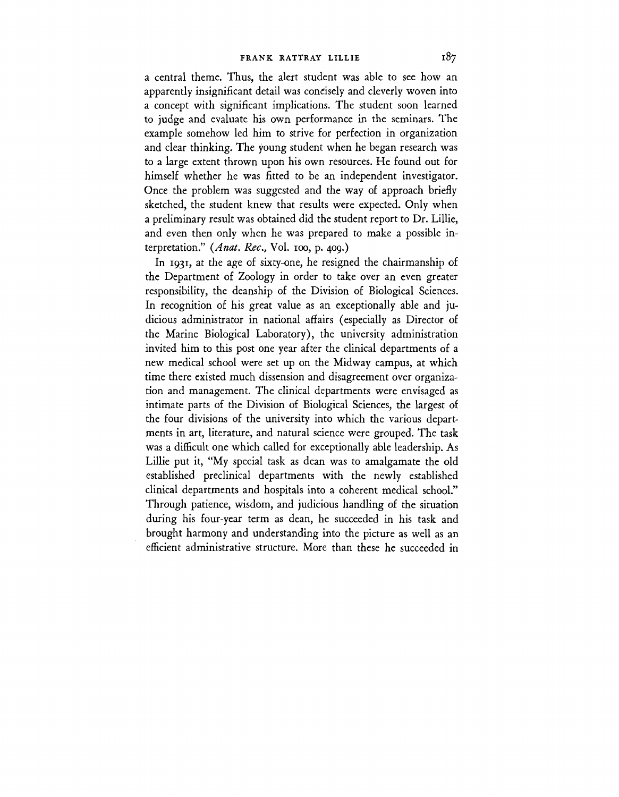a central theme. Thus, the alert student was able to see how an apparently insignificant detail was concisely and cleverly woven into a concept with significant implications. The student soon learned to judge and evaluate his own performance in the seminars. The example somehow led him to strive for perfection in organization and clear thinking. The young student when he began research was to a large extent thrown upon his own resources. He found out for himself whether he was fitted to be an independent investigator. Once the problem was suggested and the way of approach briefly sketched, the student knew that results were expected. Only when a preliminary result was obtained did the student report to Dr. Lillie, and even then only when he was prepared to make a possible interpretation." *(Anat. Rec,* Vol. ioo, p. 409.)

In 1931, at the age of sixty-one, he resigned the chairmanship of the Department of Zoology in order to take over an even greater responsibility, the deanship of the Division of Biological Sciences. In recognition of his great value as an exceptionally able and judicious administrator in national affairs (especially as Director of the Marine Biological Laboratory), the university administration invited him to this post one year after the clinical departments of a new medical school were set up on the Midway campus, at which time there existed much dissension and disagreement over organization and management. The clinical departments were envisaged as intimate parts of the Division of Biological Sciences, the largest of the four divisions of the university into which the various departments in art, literature, and natural science were grouped. The task was a difficult one which called for exceptionally able leadership. As Lillie put it, "My special task as dean was to amalgamate the old established preclinical departments with the newly established clinical departments and hospitals into a coherent medical school." Through patience, wisdom, and judicious handling of the situation during his four-year term as dean, he succeeded in his task and brought harmony and understanding into the picture as well as an efficient administrative structure. More than these he succeeded in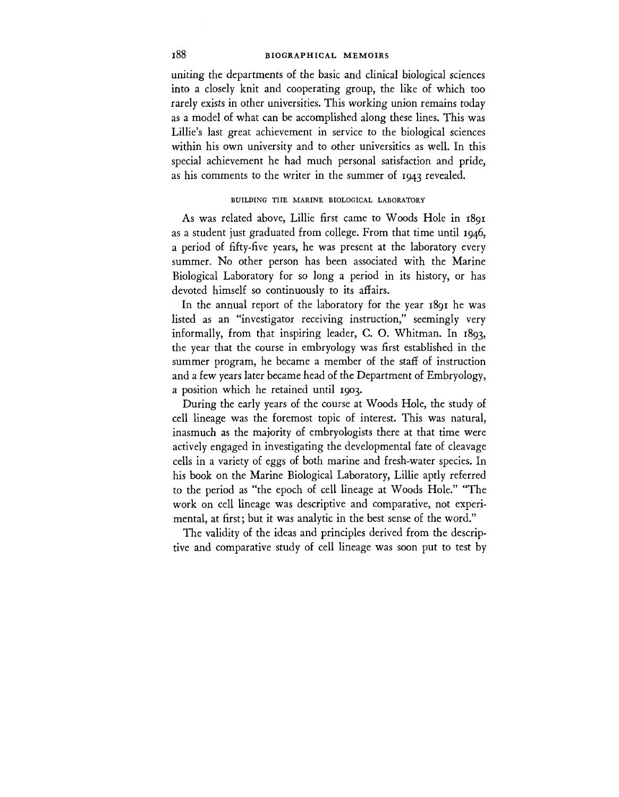# **l88 BIOGRAPHICAL MEMOIRS**

uniting the departments of the basic and clinical biological sciences into a closely knit and cooperating group, the like of which too rarely exists in other universities. This working union remains today as a model of what can be accomplished along these lines. This was Lillie's last great achievement in service to the biological sciences within his own university and to other universities as well. In this special achievement he had much personal satisfaction and pride, as his comments to the writer in the summer of 1943 revealed.

# BUILDING THE MARINE BIOLOGICAL LABORATORY

As was related above, Lillie first came to Woods Hole in 1891 as a student just graduated from college. From that time until  $1946$ , a period of fifty-five years, he was present at the laboratory every summer. No other person has been associated with the Marine Biological Laboratory for so long a period in its history, or has devoted himself so continuously to its affairs.

In the annual report of the laboratory for the year 1891 he was listed as an "investigator receiving instruction," seemingly very informally, from that inspiring leader, C. O. Whitman. In 1893, the year that the course in embryology was first established in the summer program, he became a member of the staff of instruction and a few years later became head of the Department of Embryology, a position which he retained until 1903.

During the early years of the course at Woods Hole, the study of cell lineage was the foremost topic of interest. This was natural, inasmuch as the majority of embryologists there at that time were actively engaged in investigating the developmental fate of cleavage cells in a variety of eggs of both marine and fresh-water species. In his book on the Marine Biological Laboratory, Lillie aptly referred to the period as "the epoch of cell lineage at Woods Hole." "The work on cell lineage was descriptive and comparative, not experimental, at first; but it was analytic in the best sense of the word."

The validity of the ideas and principles derived from the descriptive and comparative study of cell lineage was soon put to test by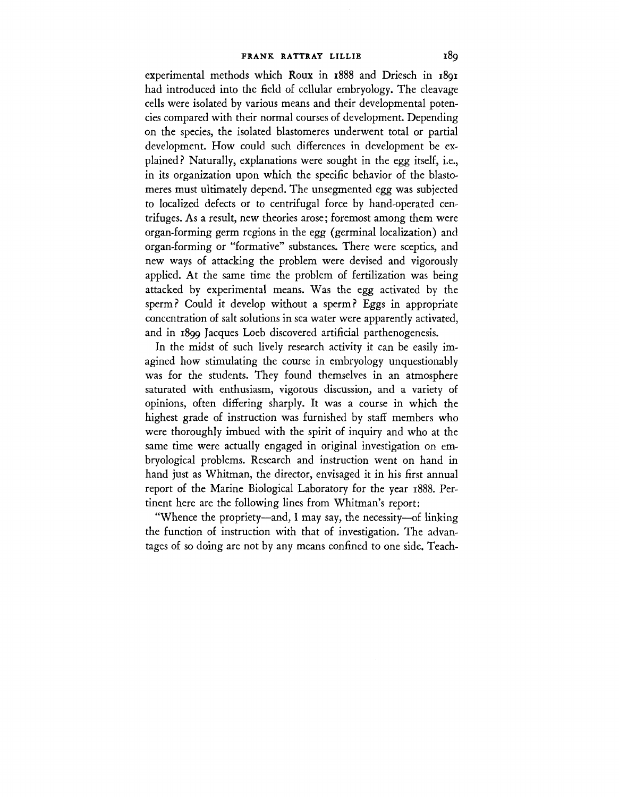experimental methods which Roux in 1888 and Driesch in 1891 had introduced into the field of cellular embryology. The cleavage cells were isolated by various means and their developmental potencies compared with their normal courses of development. Depending on the species, the isolated blastomeres underwent total or partial development. How could such differences in development be explained? Naturally, explanations were sought in the egg itself, i.e., in its organization upon which the specific behavior of the blastomeres must ultimately depend. The unsegmented egg was subjected to localized defects or to centrifugal force by hand-operated centrifuges. As a result, new theories arose; foremost among them were organ-forming germ regions in the egg (germinal localization) and organ-forming or "formative" substances. There were sceptics, and new ways of attacking the problem were devised and vigorously applied. At the same time the problem of fertilization was being attacked by experimental means. Was the egg activated by the sperm? Could it develop without a sperm? Eggs in appropriate concentration of salt solutions in sea water were apparently activated, and in 1899 Jacques Loeb discovered artificial parthenogenesis.

In the midst of such lively research activity it can be easily imagined how stimulating the course in embryology unquestionably was for the students. They found themselves in an atmosphere saturated with enthusiasm, vigorous discussion, and a variety of opinions, often differing sharply. It was a course in which the highest grade of instruction was furnished by staff members who were thoroughly imbued with the spirit of inquiry and who at the same time were actually engaged in original investigation on embryological problems. Research and instruction went on hand in hand just as Whitman, the director, envisaged it in his first annual report of the Marine Biological Laboratory for the year 1888. Pertinent here are the following lines from Whitman's report:

"Whence the propriety—and, I may say, the necessity—of linking the function of instruction with that of investigation. The advantages of so doing are not by any means confined to one side. Teach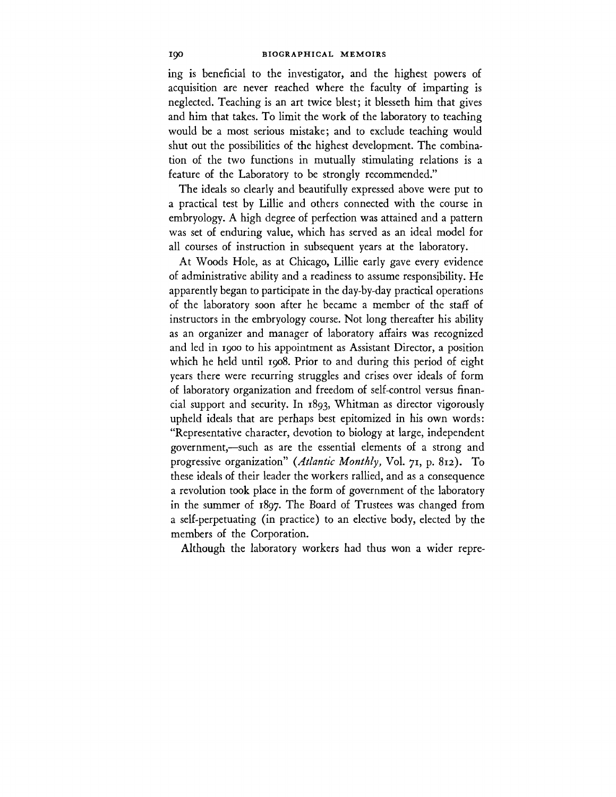ing is beneficial to the investigator, and the highest powers of acquisition are never reached where the faculty of imparting is neglected. Teaching is an art twice blest; it blesseth him that gives and him that takes. To limit the work of the laboratory to teaching would be a most serious mistake; and to exclude teaching would shut out the possibilities of the highest development. The combination of the two functions in mutually stimulating relations is a feature of the Laboratory to be strongly recommended."

The ideals so clearly and beautifully expressed above were put to a practical test by Lillie and others connected with the course in embryology. A high degree of perfection was attained and a pattern was set of enduring value, which has served as an ideal model for all courses of instruction in subsequent years at the laboratory.

At Woods Hole, as at Chicago, Lillie early gave every evidence of administrative ability and a readiness to assume responsibility. He apparently began to participate in the day-by-day practical operations of the laboratory soon after he became a member of the staff of instructors in the embryology course. Not long thereafter his ability as an organizer and manager of laboratory affairs was recognized and led in 1900 to his appointment as Assistant Director, a position which he held until 1908. Prior to and during this period of eight years there were recurring struggles and crises over ideals of form of laboratory organization and freedom of self-control versus financial support and security. In 1893, Whitman as director vigorously upheld ideals that are perhaps best epitomized in his own words: "Representative character, devotion to biology at large, independent government,—such as are the essential elements of a strong and progressive organization" *{Atlantic Monthly,* Vol. 71, p. 812). To these ideals of their leader the workers rallied, and as a consequence a revolution took place in the form of government of the laboratory in the summer of 1897. The Board of Trustees was changed from a self-perpetuating (in practice) to an elective body, elected by the members of the Corporation.

Although the laboratory workers had thus won a wider repre-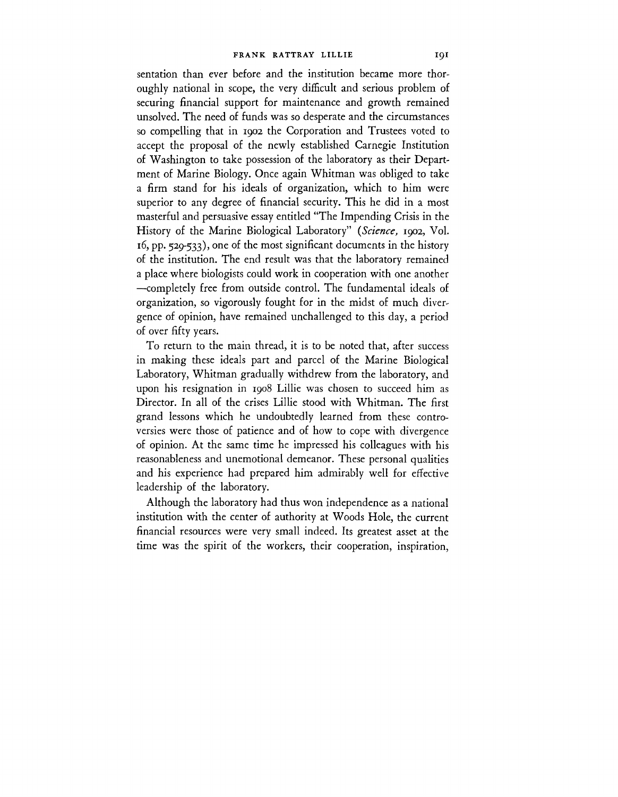sentation than ever before and the institution became more thoroughly national in scope, the very difficult and serious problem of securing financial support for maintenance and growth remained unsolved. The need of funds was so desperate and the circumstances so compelling that in 1902 the Corporation and Trustees voted to accept the proposal of the newly established Carnegie Institution of Washington to take possession of the laboratory as their Department of Marine Biology. Once again Whitman was obliged to take a firm stand for his ideals of organization, which to him were superior to any degree of financial security. This he did in a most masterful and persuasive essay entitled "The Impending Crisis in the History of the Marine Biological Laboratory" *{Science,* 1902, Vol. 16, pp. 529-533), one of the most significant documents in the history of the institution. The end result was that the laboratory remained a place where biologists could work in cooperation with one another —completely free from outside control. The fundamental ideals of organization, so vigorously fought for in the midst of much divergence of opinion, have remained unchallenged to this day, a period of over fifty years.

To return to the main thread, it is to be noted that, after success in making these ideals part and parcel of the Marine Biological Laboratory, Whitman gradually withdrew from the laboratory, and upon his resignation in 1908 Lillie was chosen to succeed him as Director. In all of the crises Lillie stood with Whitman. The first grand lessons which he undoubtedly learned from these controversies were those of patience and of how to cope with divergence of opinion. At the same time he impressed his colleagues with his reasonableness and unemotional demeanor. These personal qualities and his experience had prepared him admirably well for effective leadership of the laboratory.

Although the laboratory had thus won independence as a national institution with the center of authority at Woods Hole, the current financial resources were very small indeed. Its greatest asset at the time was the spirit of the workers, their cooperation, inspiration,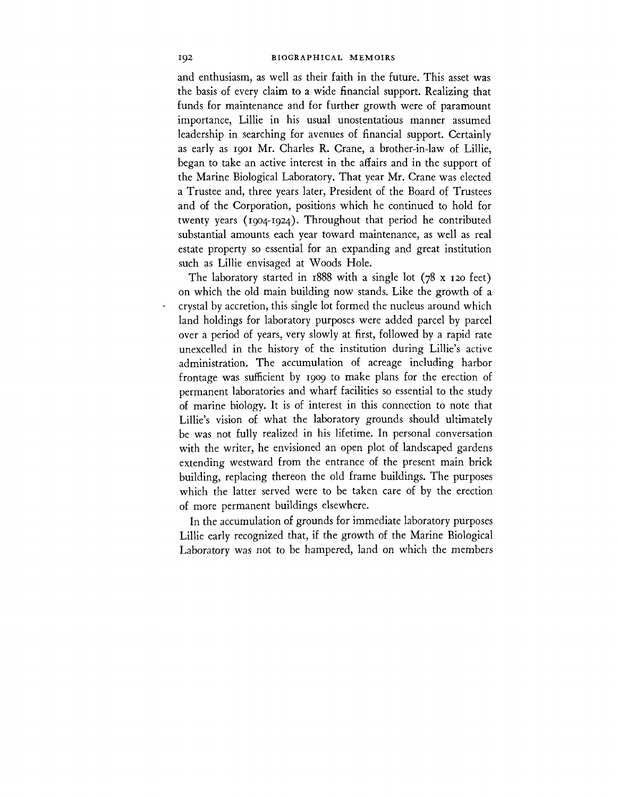and enthusiasm, as well as their faith in the future. This asset was the basis of every claim to a wide financial support. Realizing that funds for maintenance and for further growth were of paramount importance, Lillie in his usual unostentatious manner assumed leadership in searching for avenues of financial support. Certainly as early as 1901 Mr. Charles R. Crane, a brother-in-law of Lillie, began to take an active interest in the affairs and in the support of the Marine Biological Laboratory. That year Mr. Crane was elected a Trustee and, three years later, President of the Board of Trustees and of the Corporation, positions which he continued to hold for twenty years (1904-1924). Throughout that period he contributed substantial amounts each year toward maintenance, as well as real estate property so essential for an expanding and great institution such as Lillie envisaged at Woods Hole.

The laboratory started in  $1888$  with a single lot (78 x 120 feet) on which the old main building now stands. Like the growth of a crystal by accretion, this single lot formed the nucleus around which land holdings for laboratory purposes were added parcel by parcel over a period of years, very slowly at first, followed by a rapid rate unexcelled in the history of the institution during Lillie's active administration. The accumulation of acreage including harbor frontage was sufficient by 1909 to make plans for the erection of permanent laboratories and wharf facilities so essential to the study of marine biology. It is of interest in this connection to note that Lillie's vision of what the laboratory grounds should ultimately be was not fully realized in his lifetime. In personal conversation with the writer, he envisioned an open plot of landscaped gardens extending westward from the entrance of the present main brick building, replacing thereon the old frame buildings. The purposes which the latter served were to be taken care of by the erection of more permanent buildings elsewhere.

In the accumulation of grounds for immediate laboratory purposes Lillie early recognized that, if the growth of the Marine Biological Laboratory was not to be hampered, land on which the members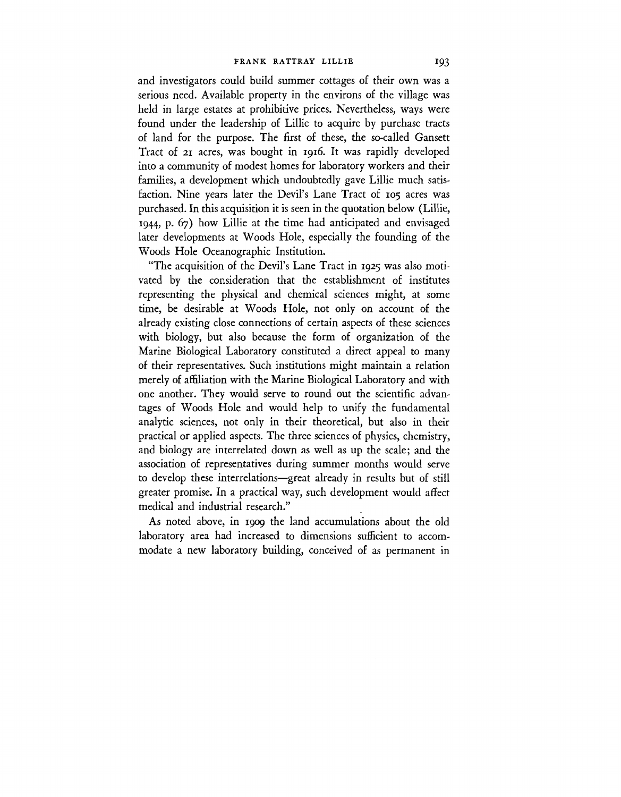and investigators could build summer cottages of their own was a serious need. Available property in the environs of the village was held in large estates at prohibitive prices. Nevertheless, ways were found under the leadership of Lillie to acquire by purchase tracts of land for the purpose. The first of these, the so-called Gansett Tract of 21 acres, was bought in 1916. It was rapidly developed into a community of modest homes for laboratory workers and their families, a development which undoubtedly gave Lillie much satisfaction. Nine years later the Devil's Lane Tract of 105 acres was purchased. In this acquisition it is seen in the quotation below (Lillie, 1944, p. 67) how Lillie at the time had anticipated and envisaged later developments at Woods Hole, especially the founding of the Woods Hole Oceanographic Institution.

"The acquisition of the Devil's Lane Tract in 1925 was also motivated by the consideration that the establishment of institutes representing the physical and chemical sciences might, at some time, be desirable at Woods Hole, not only on account of the already existing close connections of certain aspects of these sciences with biology, but also because the form of organization of the Marine Biological Laboratory constituted a direct appeal to many of their representatives. Such institutions might maintain a relation merely of affiliation with the Marine Biological Laboratory and with one another. They would serve to round out the scientific advantages of Woods Hole and would help to unify the fundamental analytic sciences, not only in their theoretical, but also in their practical or applied aspects. The three sciences of physics, chemistry, and biology are interrelated down as well as up the scale; and the association of representatives during summer months would serve to develop these interrelations—great already in results but of still greater promise. In a practical way, such development would affect medical and industrial research."

As noted above, in 1909 the land accumulations about the old laboratory area had increased to dimensions sufficient to accommodate a new laboratory building, conceived of as permanent in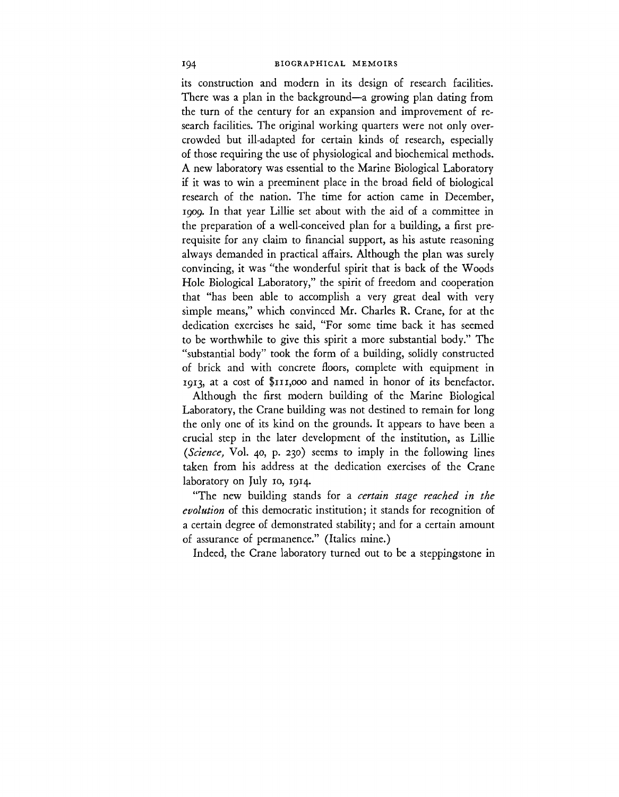its construction and modern in its design of research facilities. There was a plan in the background—a growing plan dating from the turn of the century for an expansion and improvement of research facilities. The original working quarters were not only overcrowded but ill-adapted for certain kinds of research, especially of those requiring the use of physiological and biochemical methods. A new laboratory was essential to the Marine Biological Laboratory if it was to win a preeminent place in the broad field of biological research of the nation. The time for action came in December, 1909. In that year Lillie set about with the aid of a committee in the preparation of a well-conceived plan for a building, a first prerequisite for any claim to financial support, as his astute reasoning always demanded in practical affairs. Although the plan was surely convincing, it was "the wonderful spirit that is back of the Woods Hole Biological Laboratory," the spirit of freedom and cooperation that "has been able to accomplish a very great deal with very simple means," which convinced Mr. Charles R. Crane, for at the dedication exercises he said, "For some time back it has seemed to be worthwhile to give this spirit a more substantial body." The "substantial body" took the form of a building, solidly constructed of brick and with concrete floors, complete with equipment in 1913, at a cost of \$111,000 and named in honor of its benefactor.

Although the first modern building of the Marine Biological Laboratory, the Crane building was not destined to remain for long the only one of its kind on the grounds. It appears to have been a crucial step in the later development of the institution, as Lillie *(Science,* Vol. 40, p. 230) seems to imply in the following lines taken from his address at the dedication exercises of the Crane laboratory on July 10, 1914.

"The new building stands for a *certain stage reached in the evolution* of this democratic institution; it stands for recognition of a certain degree of demonstrated stability; and for a certain amount of assurance of permanence." (Italics mine.)

Indeed, the Crane laboratory turned out to be a steppingstone in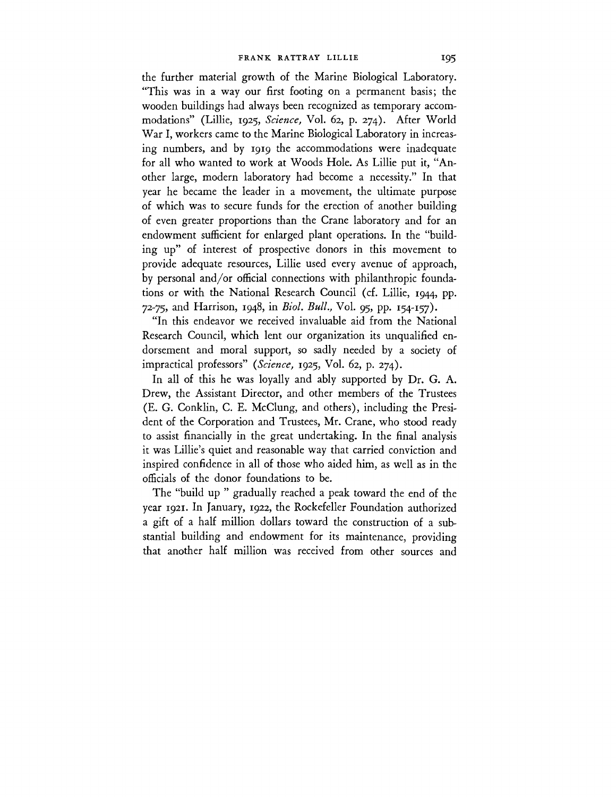the further material growth of the Marine Biological Laboratory. "This was in a way our first footing on a permanent basis; the wooden buildings had always been recognized as temporary accommodations" (Lillie, 1925, *Science,* Vol. 62, p. 274). After World War I, workers came to the Marine Biological Laboratory in increasing numbers, and by 1919 the accommodations were inadequate for all who wanted to work at Woods Hole. As Lillie put it, "Another large, modern laboratory had become a necessity." In that year he became the leader in a movement, the ultimate purpose of which was to secure funds for the erection of another building of even greater proportions than the Crane laboratory and for an endowment sufficient for enlarged plant operations. In the "building up" of interest of prospective donors in this movement to provide adequate resources, Lillie used every avenue of approach, by personal and/or official connections with philanthropic foundations or with the National Research Council (cf. Lillie, 1944, pp. 72-75, and Harrison, 1948, in *Biol. Bull.,* Vol. 95, pp. 154-157).

"In this endeavor we received invaluable aid from the National Research Council, which lent our organization its unqualified endorsement and moral support, so sadly needed by a society of impractical professors" *{Science,* 1925, Vol. 62, p. 274).

In all of this he was loyally and ably supported by Dr. G. A. Drew, the Assistant Director, and other members of the Trustees (E. G. Conklin, C. E. McClung, and others), including the President of the Corporation and Trustees, Mr. Crane, who stood ready to assist financially in the great undertaking. In the final analysis it was Lillie's quiet and reasonable way that carried conviction and inspired confidence in all of those who aided him, as well as in the officials of the donor foundations to be.

The "build up " gradually reached a peak toward the end of the year 1921. In January, 1922, the Rockefeller Foundation authorized a gift of a half million dollars toward the construction of a substantial building and endowment for its maintenance, providing that another half million was received from other sources and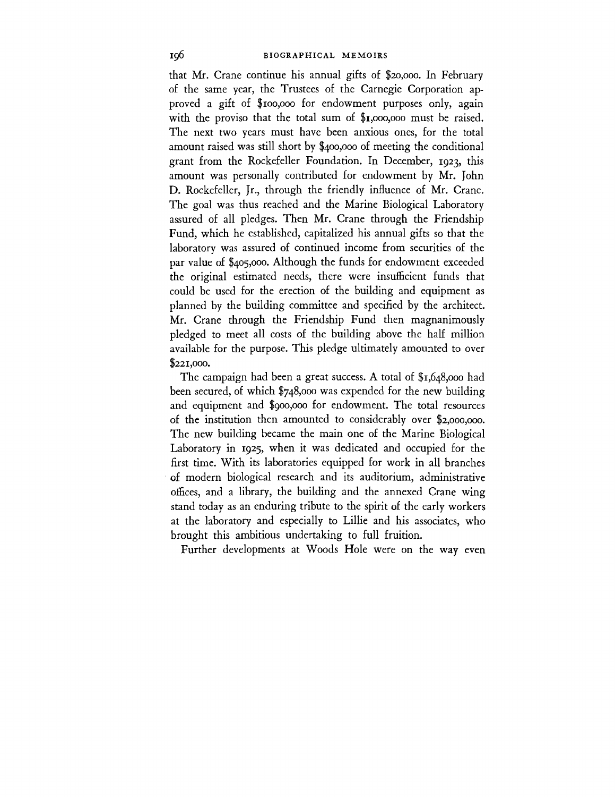that Mr. Crane continue his annual gifts of \$20,000. In February of the same year, the Trustees of the Carnegie Corporation approved a gift of \$100,000 for endowment purposes only, again with the proviso that the total sum of \$1,000,000 must be raised. The next two years must have been anxious ones, for the total amount raised was still short by \$400,000 of meeting the conditional grant from the Rockefeller Foundation. In December, 1923, this amount was personally contributed for endowment by Mr. John D. Rockefeller, Jr., through the friendly influence of Mr. Crane. The goal was thus reached and the Marine Biological Laboratory assured of all pledges. Then Mr. Crane through the Friendship Fund, which he established, capitalized his annual gifts so that the laboratory was assured of continued income from securities of the par value of \$405,000. Although the funds for endowment exceeded the original estimated needs, there were insufficient funds that could be used for the erection of the building and equipment as planned by the building committee and specified by the architect. Mr. Crane through the Friendship Fund then magnanimously pledged to meet all costs of the building above the half million available for the purpose. This pledge ultimately amounted to over \$221,000.

The campaign had been a great success. A total of \$1,648,000 had been secured, of which \$748,000 was expended for the new building and equipment and \$900,000 for endowment. The total resources of the institution then amounted to considerably over \$2,000,000. The new building became the main one of the Marine Biological Laboratory in 1925, when it was dedicated and occupied for the first time. With its laboratories equipped for work in all branches of modern biological research and its auditorium, administrative offices, and a library, the building and the annexed Crane wing stand today as an enduring tribute to the spirit of the early workers at the laboratory and especially to Lillie and his associates, who brought this ambitious undertaking to full fruition.

Further developments at Woods Hole were on the way even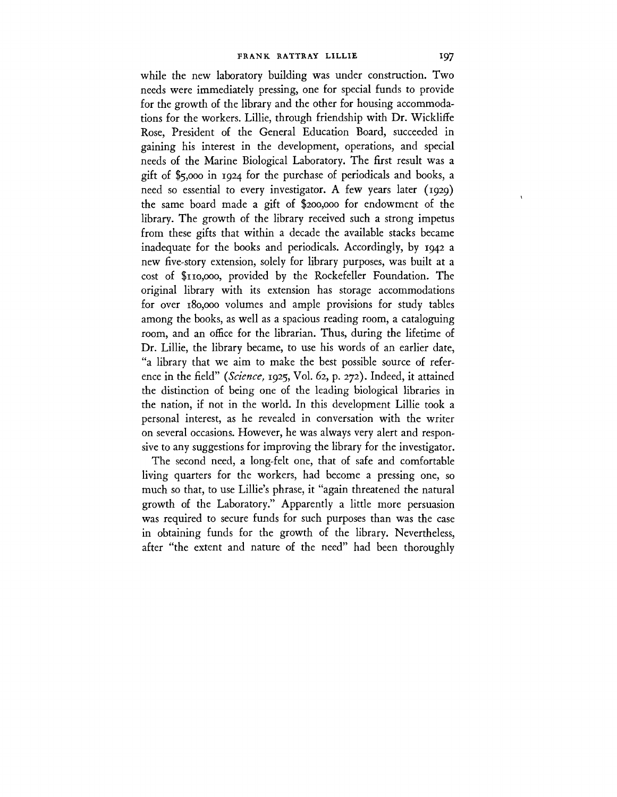while the new laboratory building was under construction. Two needs were immediately pressing, one for special funds to provide for the growth of the library and the other for housing accommodations for the workers. Lillie, through friendship with Dr. Wickliffe Rose, President of the General Education Board, succeeded in gaining his interest in the development, operations, and special needs of the Marine Biological Laboratory. The first result was a gift of \$5,000 in 1924 for the purchase of periodicals and books, a need so essential to every investigator. A few years later (1929) the same board made a gift of \$200,000 for endowment of the library. The growth of the library received such a strong impetus from these gifts that within a decade the available stacks became inadequate for the books and periodicals. Accordingly, by 1942 a new five-story extension, solely for library purposes, was built at a cost of \$110,000, provided by the Rockefeller Foundation. The original library with its extension has storage accommodations for over 180,000 volumes and ample provisions for study tables among the books, as well as a spacious reading room, a cataloguing room, and an office for the librarian. Thus, during the lifetime of Dr. Lillie, the library became, to use his words of an earlier date, "a library that we aim to make the best possible source of reference in the field" *{Science,* 1925, Vol. 62, p. 272). Indeed, it attained the distinction of being one of the leading biological libraries in the nation, if not in the world. In this development Lillie took a personal interest, as he revealed in conversation with the writer on several occasions. However, he was always very alert and responsive to any suggestions for improving the library for the investigator.

The second need, a long-felt one, that of safe and comfortable living quarters for the workers, had become a pressing one, so much so that, to use Lillie's phrase, it "again threatened the natural growth of the Laboratory." Apparently a little more persuasion was required to secure funds for such purposes than was the case in obtaining funds for the growth of the library. Nevertheless, after "the extent and nature of the need" had been thoroughly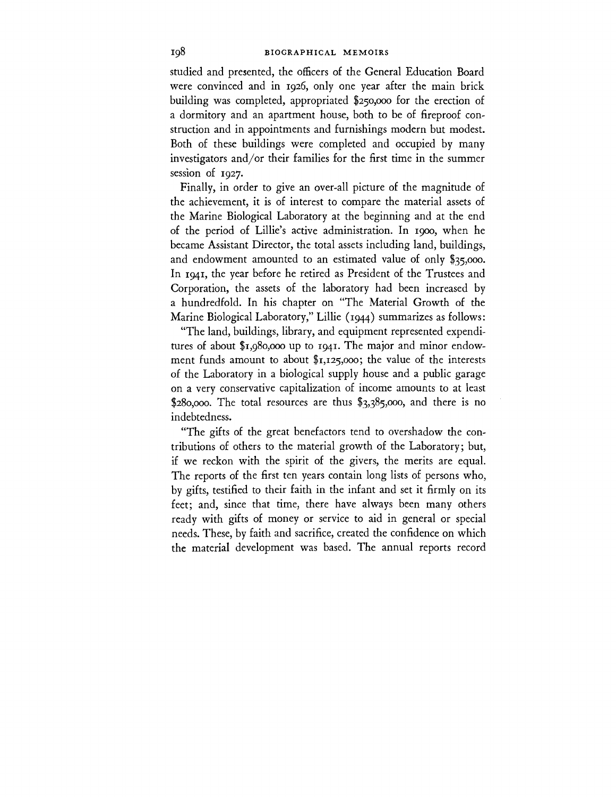studied and presented, the officers of the General Education Board were convinced and in 1926, only one year after the main brick building was completed, appropriated \$250,000 for the erection of a dormitory and an apartment house, both to be of fireproof construction and in appointments and furnishings modern but modest. Both of these buildings were completed and occupied by many investigators and/or their families for the first time in the summer session of 1927.

Finally, in order to give an over-all picture of the magnitude of the achievement, it is of interest to compare the material assets of the Marine Biological Laboratory at the beginning and at the end of the period of Lillie's active administration. In 1900, when he became Assistant Director, the total assets including land, buildings, and endowment amounted to an estimated value of only \$35,000. In 1941, the year before he retired as President of the Trustees and Corporation, the assets of the laboratory had been increased by a hundredfold. In his chapter on "The Material Growth of the Marine Biological Laboratory," Lillie (1944) summarizes as follows:

"The land, buildings, library, and equipment represented expenditures of about \$1,980,000 up to 1941. The major and minor endowment funds amount to about \$1,125,000; the value of the interests of the Laboratory in a biological supply house and a public garage on a very conservative capitalization of income amounts to at least \$280,000. The total resources are thus  $$3,385,000$ , and there is no indebtedness.

"The gifts of the great benefactors tend to overshadow the contributions of others to the material growth of the Laboratory; but, if we reckon with the spirit of the givers, the merits are equal. The reports of the first ten years contain long lists of persons who, by gifts, testified to their faith in the infant and set it firmly on its feet; and, since that time, there have always been many others ready with gifts of money or service to aid in general or special needs. These, by faith and sacrifice, created the confidence on which the material development was based. The annual reports record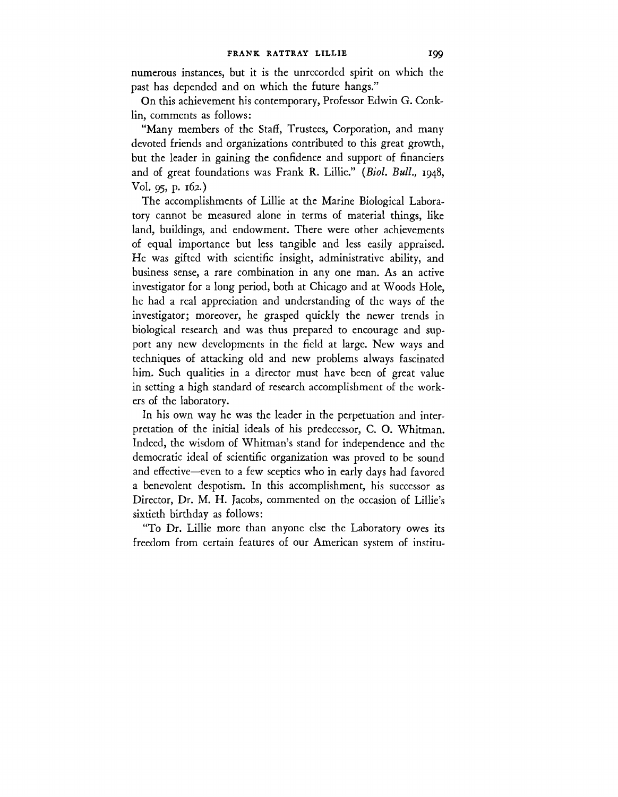numerous instances, but it is the unrecorded spirit on which the past has depended and on which the future hangs."

On this achievement his contemporary, Professor Edwin G. Conklin, comments as follows:

"Many members of the Staff, Trustees, Corporation, and many devoted friends and organizations contributed to this great growth, but the leader in gaining the confidence and support of financiers and of great foundations was Frank R. Lillie." *(Biol. Bull.,* 1948, Vol. 95, p. 162.)

The accomplishments of Lillie at the Marine Biological Laboratory cannot be measured alone in terms of material things, like land, buildings, and endowment. There were other achievements of equal importance but less tangible and less easily appraised. He was gifted with scientific insight, administrative ability, and business sense, a rare combination in any one man. As an active investigator for a long period, both at Chicago and at Woods Hole, he had a real appreciation and understanding of the ways of the investigator; moreover, he grasped quickly the newer trends in biological research and was thus prepared to encourage and support any new developments in the field at large. New ways and techniques of attacking old and new problems always fascinated him. Such qualities in a director must have been of great value in setting a high standard of research accomplishment of the workers of the laboratory.

In his own way he was the leader in the perpetuation and interpretation of the initial ideals of his predecessor, C. O. Whitman. Indeed, the wisdom of Whitman's stand for independence and the democratic ideal of scientific organization was proved to be sound and effective—even to a few sceptics who in early days had favored a benevolent despotism. In this accomplishment, his successor as Director, Dr. M. H. Jacobs, commented on the occasion of Lillie's sixtieth birthday as follows:

"To Dr. Lillie more than anyone else the Laboratory owes its freedom from certain features of our American system of institu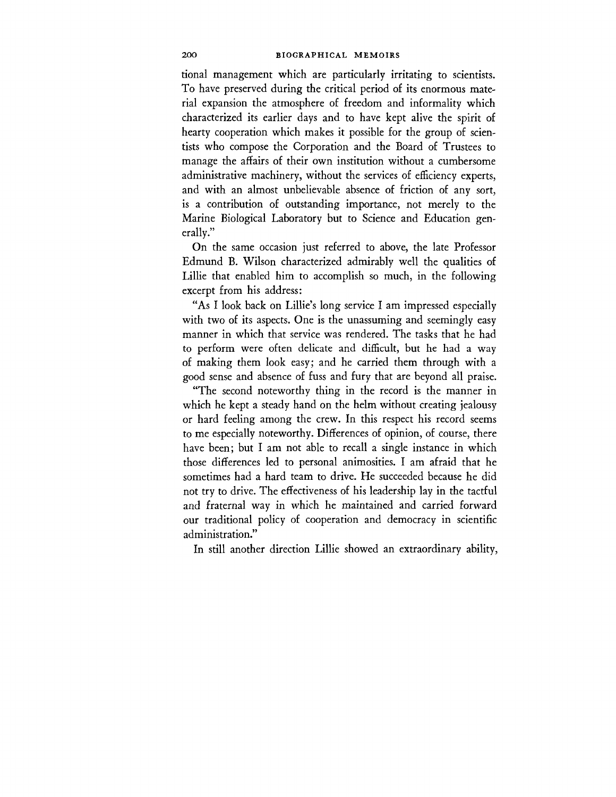tional management which are particularly irritating to scientists. To have preserved during the critical period of its enormous material expansion the atmosphere of freedom and informality which characterized its earlier days and to have kept alive the spirit of hearty cooperation which makes it possible for the group of scientists who compose the Corporation and the Board of Trustees to manage the affairs of their own institution without a cumbersome administrative machinery, without the services of efficiency experts, and with an almost unbelievable absence of friction of any sort, is a contribution of outstanding importance, not merely to the Marine Biological Laboratory but to Science and Education generally."

On the same occasion just referred to above, the late Professor Edmund B. Wilson characterized admirably well the qualities of Lillie that enabled him to accomplish so much, in the following excerpt from his address:

"As I look back on Lillie's long service I am impressed especially with two of its aspects. One is the unassuming and seemingly easy manner in which that service was rendered. The tasks that he had to perform were often delicate and difficult, but he had a way of making them look easy; and he carried them through with a good sense and absence of fuss and fury that are beyond all praise.

"The second noteworthy thing in the record is the manner in which he kept a steady hand on the helm without creating jealousy or hard feeling among the crew. In this respect his record seems to me especially noteworthy. Differences of opinion, of course, there have been; but I am not able to recall a single instance in which those differences led to personal animosities. I am afraid that he sometimes had a hard team to drive. He succeeded because he did not try to drive. The effectiveness of his leadership lay in the tactful and fraternal way in which he maintained and carried forward our traditional policy of cooperation and democracy in scientific administration."

In still another direction Lillie showed an extraordinary ability,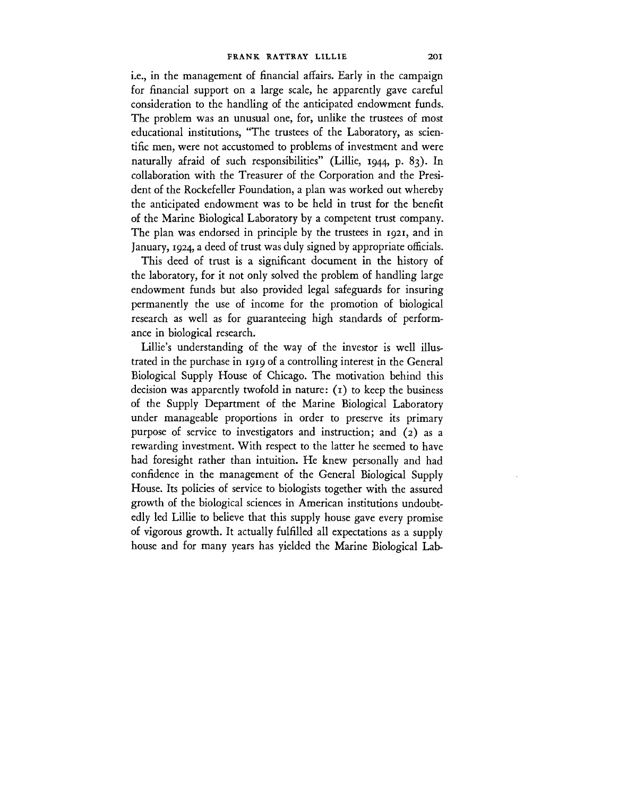i.e., in the management of financial affairs. Early in the campaign for financial support on a large scale, he apparently gave careful consideration to the handling of the anticipated endowment funds. The problem was an unusual one, for, unlike the trustees of most educational institutions, "The trustees of the Laboratory, as scientific men, were not accustomed to problems of investment and were naturally afraid of such responsibilities" (Lillie, 1944, p. 83). In collaboration with the Treasurer of the Corporation and the President of the Rockefeller Foundation, a plan was worked out whereby the anticipated endowment was to be held in trust for the benefit of the Marine Biological Laboratory by a competent trust company. The plan was endorsed in principle by the trustees in 1921, and in January, 1924, a deed of trust was duly signed by appropriate officials.

This deed of trust is a significant document in the history of the laboratory, for it not only solved the problem of handling large endowment funds but also provided legal safeguards for insuring permanently the use of income for the promotion of biological research as well as for guaranteeing high standards of performance in biological research.

Lillie's understanding of the way of the investor is well illustrated in the purchase in 1919 of a controlling interest in the General Biological Supply House of Chicago. The motivation behind this decision was apparently twofold in nature:  $(i)$  to keep the business of the Supply Department of the Marine Biological Laboratory under manageable proportions in order to preserve its primary purpose of service to investigators and instruction; and (2) as a rewarding investment. With respect to the latter he seemed to have had foresight rather than intuition. He knew personally and had confidence in the management of the General Biological Supply House. Its policies of service to biologists together with the assured growth of the biological sciences in American institutions undoubtedly led Lillie to believe that this supply house gave every promise of vigorous growth. It actually fulfilled all expectations as a supply house and for many years has yielded the Marine Biological Lab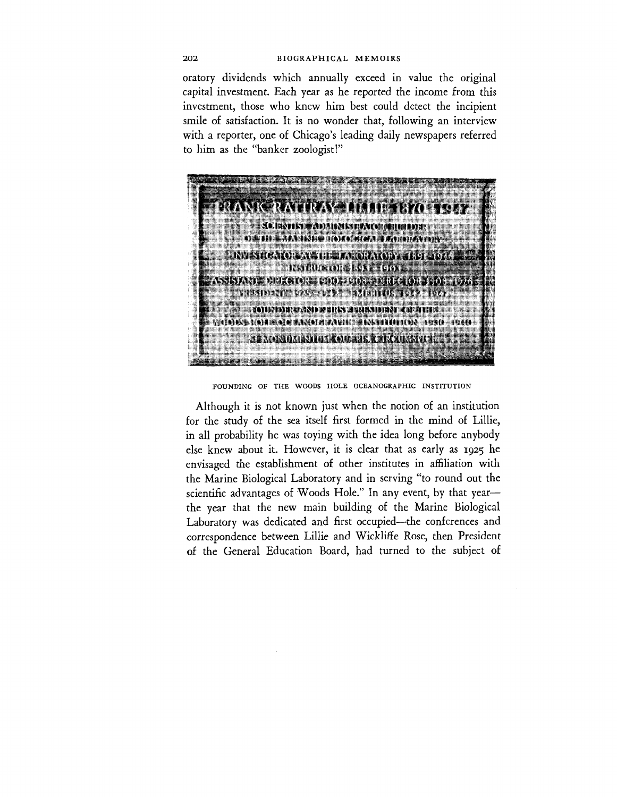oratory dividends which annually exceed in value the original capital investment. Each year as he reported the income from this investment, those who knew him best could detect the incipient smile of satisfaction. It is no wonder that, following an interview with a reporter, one of Chicago's leading daily newspapers referred to him as the "banker zoologist!"



FOUNDING OF THE WOODS HOLE OCEANOGRAPHIC INSTITUTION

Although it is not known just when the notion of an institution for the study of the sea itself first formed in the mind of Lillie, in all probability he was toying with the idea long before anybody else knew about it. However, it is clear that as early as 1925 he envisaged the establishment of other institutes in affiliation with the Marine Biological Laboratory and in serving "to round out the scientific advantages of Woods Hole." In any event, by that year the year that the new main building of the Marine Biological Laboratory was dedicated and first occupied—the conferences and correspondence between Lillie and Wickliffe Rose, then President of the General Education Board, had turned to the subject of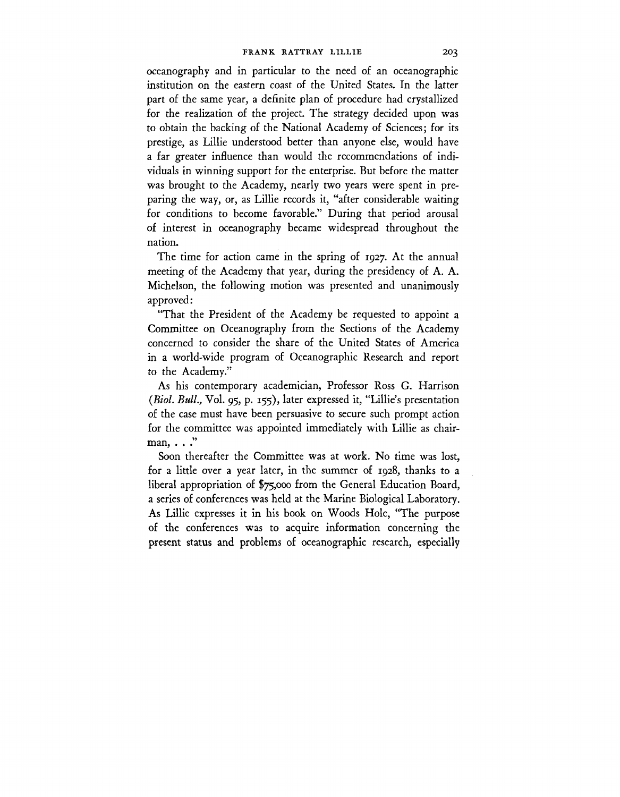oceanography and in particular to the need of an oceanographic institution on the eastern coast of the United States. In the latter part of the same year, a definite plan of procedure had crystallized for the realization of the project. The strategy decided upon was to obtain the backing of the National Academy of Sciences; for its prestige, as Lillie understood better than anyone else, would have a far greater influence than would the recommendations of individuals in winning support for the enterprise. But before the matter was brought to the Academy, nearly two years were spent in preparing the way, or, as Lillie records it, "after considerable waiting for conditions to become favorable." During that period arousal of interest in oceanography became widespread throughout the nation.

The time for action came in the spring of 1927. At the annual meeting of the Academy that year, during the presidency of A. A. Michelson, the following motion was presented and unanimously approved:

"That the President of the Academy be requested to appoint a Committee on Oceanography from the Sections of the Academy concerned to consider the share of the United States of America in a world-wide program of Oceanographic Research and report to the Academy."

As his contemporary academician, Professor Ross G. Harrison *(Biol. Bull.,* Vol. 95, p. 155), later expressed it, "Lillie's presentation of the case must have been persuasive to secure such prompt action for the committee was appointed immediately with Lillie as chairman, . . ."

Soon thereafter the Committee was at work. No time was lost, for a little over a year later, in the summer of 1928, thanks to a liberal appropriation of \$75,000 from the General Education Board, a series of conferences was held at the Marine Biological Laboratory. As Lillie expresses it in his book on Woods Hole, "The purpose of the conferences was to acquire information concerning the present status and problems of oceanographic research, especially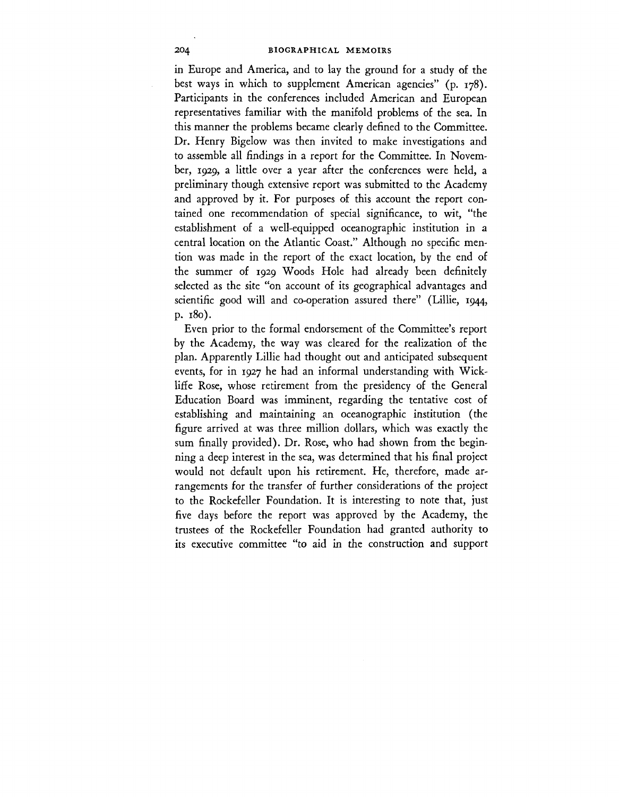in Europe and America, and to lay the ground for a study of the best ways in which to supplement American agencies" (p. 178). Participants in the conferences included American and European representatives familiar with the manifold problems of the sea. In this manner the problems became clearly defined to the Committee. Dr. Henry Bigelow was then invited to make investigations and to assemble all findings in a report for the Committee. In November, 1929, a little over a year after the conferences were held, a preliminary though extensive report was submitted to the Academy and approved by it. For purposes of this account the report contained one recommendation of special significance, to wit, "the establishment of a well-equipped oceanographic institution in a central location on the Atlantic Coast." Although no specific mention was made in the report of the exact location, by the end of the summer of 1929 Woods Hole had already been definitely selected as the site "on account of its geographical advantages and scientific good will and co-operation assured there" (Lillie, 1944, p. 180).

Even prior to the formal endorsement of the Committee's report by the Academy, the way was cleared for the realization of the plan. Apparently Lillie had thought out and anticipated subsequent events, for in 1927 he had an informal understanding with Wickliffe Rose, whose retirement from the presidency of the General Education Board was imminent, regarding the tentative cost of establishing and maintaining an oceanographic institution (the figure arrived at was three million dollars, which was exactly the sum finally provided). Dr. Rose, who had shown from the beginning a deep interest in the sea, was determined that his final project would not default upon his retirement. He, therefore, made arrangements for the transfer of further considerations of the project to the Rockefeller Foundation. It is interesting to note that, just five days before the report was approved by the Academy, the trustees of the Rockefeller Foundation had granted authority to its executive committee "to aid in the construction and support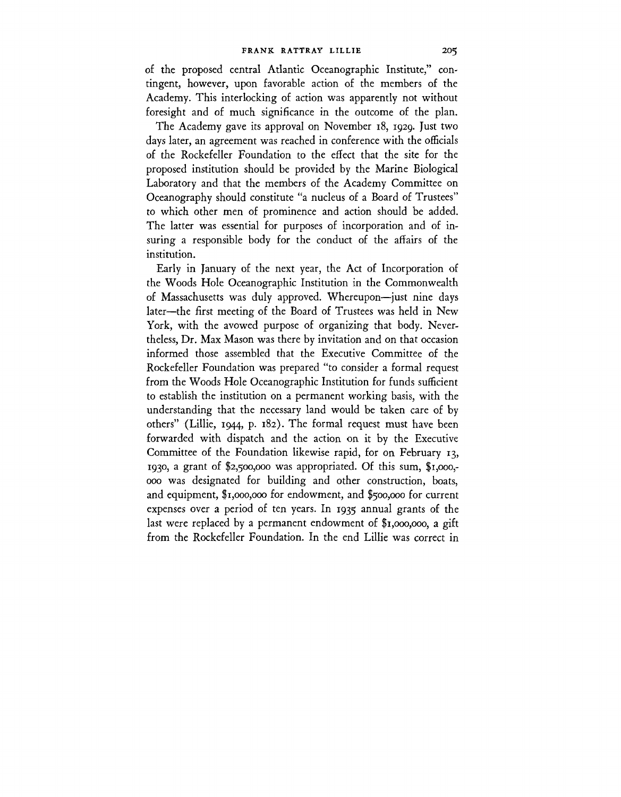of the proposed central Atlantic Oceanographic Institute," contingent, however, upon favorable action of the members of the Academy. This interlocking of action was apparently not without foresight and of much significance in the outcome of the plan.

The Academy gave its approval on November 18, 1929. Just two days later, an agreement was reached in conference with the officials of the Rockefeller Foundation to the effect that the site for the proposed institution should be provided by the Marine Biological Laboratory and that the members of the Academy Committee on Oceanography should constitute "a nucleus of a Board of Trustees" to which other men of prominence and action should be added. The latter was essential for purposes of incorporation and of insuring a responsible body for the conduct of the affairs of the institution.

Early in January of the next year, the Act of Incorporation of the Woods Hole Oceanographic Institution in the Commonwealth of Massachusetts was duly approved. Whereupon—just nine days later—the first meeting of the Board of Trustees was held in New York, with the avowed purpose of organizing that body. Nevertheless, Dr. Max Mason was there by invitation and on that occasion informed those assembled that the Executive Committee of the Rockefeller Foundation was prepared "to consider a formal request from the Woods Hole Oceanographic Institution for funds sufficient to establish the institution on a permanent working basis, with the understanding that the necessary land would be taken care of by others" (Lillie, 1944, p. 182). The formal request must have been forwarded with dispatch and the action on it by the Executive Committee of the Foundation likewise rapid, for on February 13, 1930, a grant of \$2,500,000 was appropriated. Of this sum, \$1,000,- 000 was designated for building and other construction, boats, and equipment, \$1,000,000 for endowment, and \$500,000 for current expenses over a period of ten years. In 1935 annual grants of the last were replaced by a permanent endowment of \$1,000,000, a gift from the Rockefeller Foundation. In the end Lillie was correct in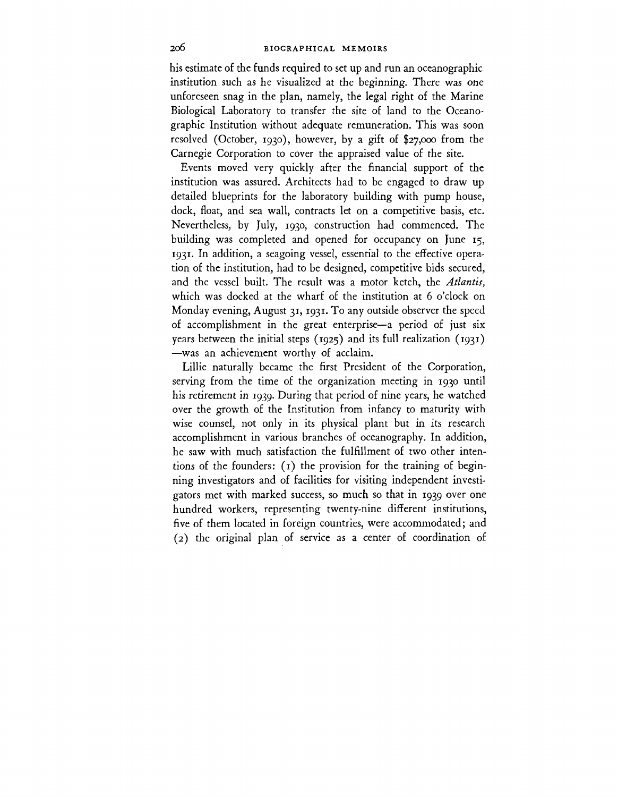his estimate of the funds required to set up and **run** an oceanographic institution such as he visualized at the beginning. There was one unforeseen snag in the plan, namely, the legal right of the Marine Biological Laboratory to transfer the site of land to the Oceanographic Institution without adequate remuneration. This was soon resolved (October, 1930), however, by a gift of \$27,000 from the Carnegie Corporation to cover the appraised value of the site.

Events moved very quickly after the financial support of the institution was assured. Architects had to be engaged to draw up detailed blueprints for the laboratory building with pump house, dock, float, and sea wall, contracts let on a competitive basis, etc. Nevertheless, by July, 1930, construction had commenced. The building was completed and opened for occupancy on June 15, 1931. In addition, a seagoing vessel, essential to the effective operation of the institution, had to be designed, competitive bids secured, and the vessel built. The result was a motor ketch, the *Atlantis,* which was docked at the wharf of the institution at 6 o'clock on Monday evening, August 31, 1931. To any outside observer the speed of accomplishment in the great enterprise—a period of just six years between the initial steps (1925) and its full realization (1931) —was an achievement worthy of acclaim.

Lillie naturally became the first President of the Corporation, serving from the time of the organization meeting in 1930 until his retirement in 1939. During that period of nine years, he watched over the growth of the Institution from infancy to maturity with wise counsel, not only in its physical plant but in its research accomplishment in various branches of oceanography. In addition, he saw with much satisfaction the fulfillment of two other intentions of the founders:  $(1)$  the provision for the training of beginning investigators and of facilities for visiting independent investigators met with marked success, so much so that in 1939 over one hundred workers, representing twenty-nine different institutions, five of them located in foreign countries, were accommodated; and (2) the original plan of service as a center of coordination of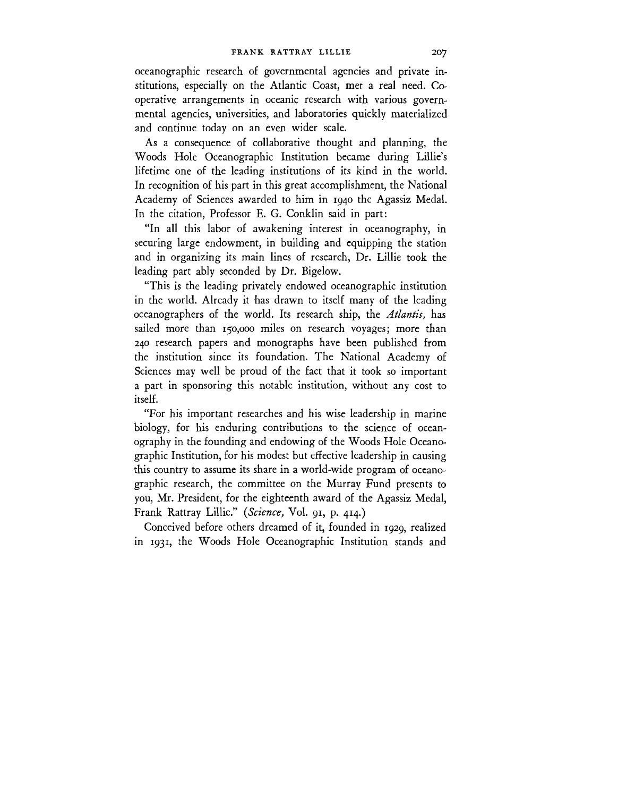oceanographic research of governmental agencies and private institutions, especially on the Atlantic Coast, met a real need. Cooperative arrangements in oceanic research with various governmental agencies, universities, and laboratories quickly materialized and continue today on an even wider scale.

As a consequence of collaborative thought and planning, the Woods Hole Oceanographic Institution became during Lillie's lifetime one of the leading institutions of its kind in the world. In recognition of his part in this great accomplishment, the National Academy of Sciences awarded to him in 1940 the Agassiz Medal. In the citation, Professor E. G. Conklin said in part:

"In all this labor of awakening interest in oceanography, in securing large endowment, in building and equipping the station and in organizing its main lines of research, Dr. Lillie took the leading part ably seconded by Dr. Bigelow.

"This is the leading privately endowed oceanographic institution in the world. Already it has drawn to itself many of the leading oceanographers of the world. Its research ship, the *Atlantis,* has sailed more than 150,000 miles on research voyages; more than 240 research papers and monographs have been published from the institution since its foundation. The National Academy of Sciences may well be proud of the fact that it took so important a part in sponsoring this notable institution, without any cost to itself.

"For his important researches and his wise leadership in marine biology, for his enduring contributions to the science of oceanography in the founding and endowing of the Woods Hole Oceanographic Institution, for his modest but effective leadership in causing this country to assume its share in a world-wide program of oceanographic research, the committee on the Murray Fund presents to you, Mr. President, for the eighteenth award of the Agassiz Medal, Frank Rattray Lillie." *{Science,* Vol. 91, p. 414.)

Conceived before others dreamed of it, founded in 1929, realized in 1931, the Woods Hole Oceanographic Institution stands and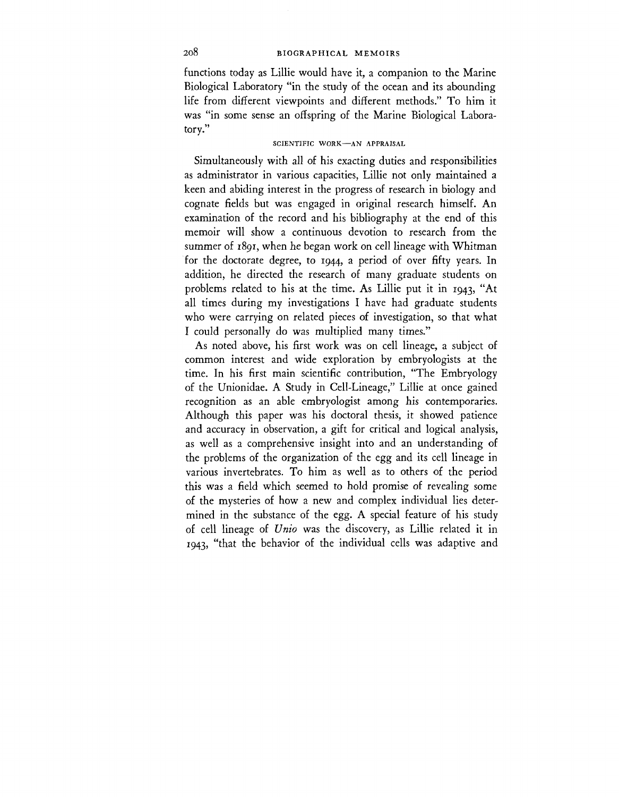# 208 BIOGRAPHICAL MEMOIRS

functions today as Lillie would have it, a companion to the Marine Biological Laboratory "in the study of the ocean and its abounding life from different viewpoints and different methods." To him it was "in some sense an offspring of the Marine Biological Laboratory."

# SCIENTIFIC WORK—AN APPRAISAL

Simultaneously with all of his exacting duties and responsibilities as administrator in various capacities, Lillie not only maintained a keen and abiding interest in the progress of research in biology and cognate fields but was engaged in original research himself. An examination of the record and his bibliography at the end of this memoir will show a continuous devotion to research from the summer of 1891, when he began work on cell lineage with Whitman for the doctorate degree, to 1944, a period of over fifty years. In addition, he directed the research of many graduate students on problems related to his at the time. As Lillie put it in 1943, "At all times during my investigations I have had graduate students who were carrying on related pieces of investigation, so that what I could personally do was multiplied many times."

As noted above, his first work was on cell lineage, a subject of common interest and wide exploration by embryologists at the time. In his first main scientific contribution, "The Embryology of the Unionidae. A Study in Cell-Lineage," Lillie at once gained recognition as an able embryologist among his contemporaries. Although this paper was his doctoral thesis, it showed patience and accuracy in observation, a gift for critical and logical analysis, as well as a comprehensive insight into and an understanding of the problems of the organization of the egg and its cell lineage in various invertebrates. To him as well as to others of the period this was a field which seemed to hold promise of revealing some of the mysteries of how a new and complex individual lies determined in the substance of the egg. A special feature of his study of cell lineage of *Unio* was the discovery, as Lillie related it in 1943, "that the behavior of the individual cells was adaptive and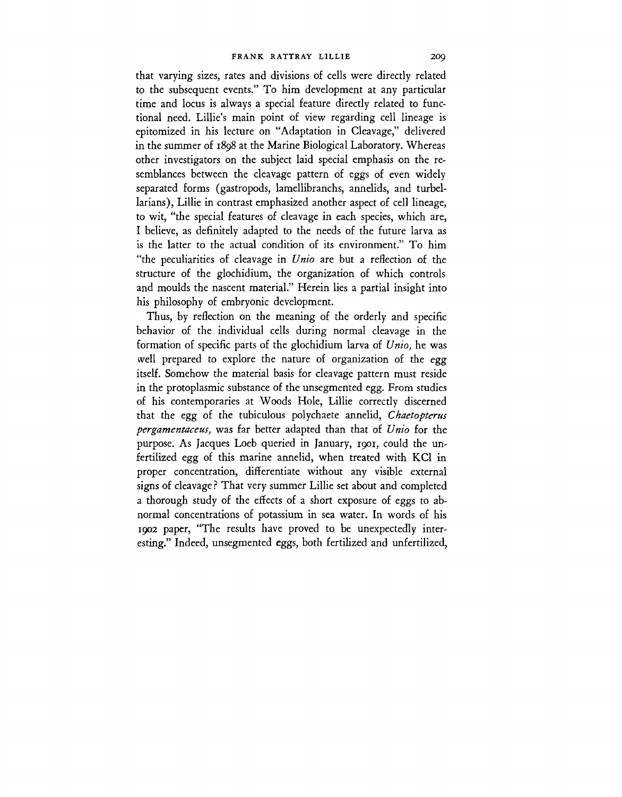that varying sizes, rates and divisions of cells were directly related to the subsequent events." To him development at any particular time and locus is always a special feature directly related to functional need. Lillie's main point of view regarding cell lineage is epitomized in his lecture on "Adaptation in Cleavage," delivered in the summer of 1898 at the Marine Biological Laboratory. Whereas other investigators on the subject laid special emphasis on the resemblances between the cleavage pattern of eggs of even widely separated forms (gastropods, lamellibranchs, annelids, and turbellarians), Lillie in contrast emphasized another aspect of cell lineage, to wit, "the special features of cleavage in each species, which are, I believe, as definitely adapted to the needs of the future larva as is the latter to the actual condition of its environment." To him "the peculiarities of cleavage in *Unio* are but a reflection of the structure of the glochidium, the organization of which controls and moulds the nascent material." Herein lies a partial insight into his philosophy of embryonic development.

Thus, by reflection on the meaning of the orderly and specific behavior of the individual cells during normal cleavage in the formation of specific parts of the glochidium larva of *Unio,* he was well prepared to explore the nature of organization of the egg itself. Somehow the material basis for cleavage pattern must reside in the protoplasmic substance of the unsegmented egg. From studies of his contemporaries at Woods Hole, Lillie correctly discerned that the egg of the tubiculous polychaete annelid, *Chaetopterus pergamentaceus,* was far better adapted than that of *Unio* for the purpose. As Jacques Loeb queried in January, 1901, could the unfertilized egg of this marine annelid, when treated with KC1 in proper concentration, differentiate without any visible external signs of cleavage ? That very summer Lillie set about and completed a thorough study of the effects of a short exposure of eggs to abnormal concentrations of potassium in sea water. In words of his 1902 paper, "The results have proved to be unexpectedly interesting." Indeed, unsegmented eggs, both fertilized and unfertilized,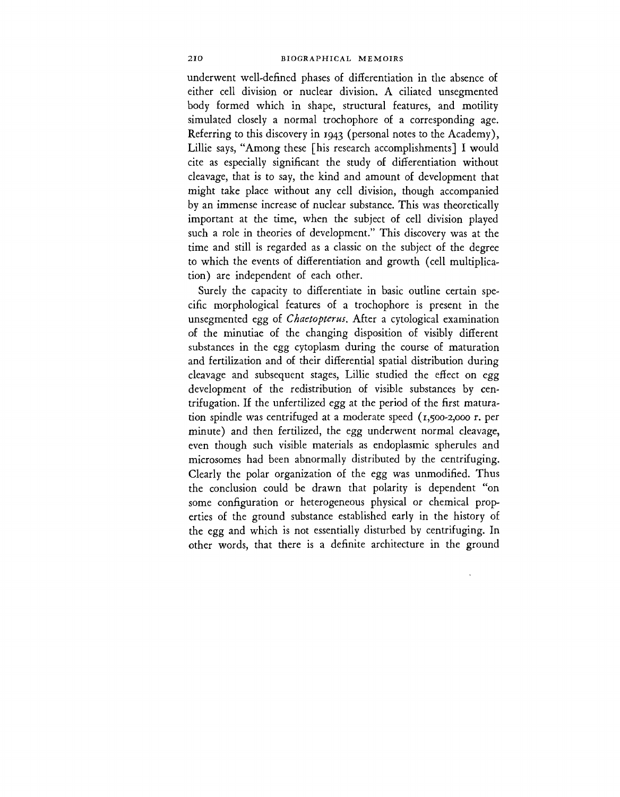underwent well-defined phases of differentiation in the absence of either cell division or nuclear division. A ciliated unsegmented body formed which in shape, structural features, and motility simulated closely a normal trochophore of a corresponding age. Referring to this discovery in 1943 (personal notes to the Academy), Lillie says, "Among these [his research accomplishments] I would cite as especially significant the study of differentiation without cleavage, that is to say, the kind and amount of development that might take place without any cell division, though accompanied by an immense increase of nuclear substance. This was theoretically important at the time, when the subject of cell division played such a role in theories of development." This discovery was at the time and still is regarded as a classic on the subject of the degree to which the events of differentiation and growth (cell multiplication) are independent of each other.

Surely the capacity to differentiate in basic outline certain specific morphological features of a trochophore is present in the unsegmented egg of *Chaetopterus.* After a cytological examination of the minutiae of the changing disposition of visibly different substances in the egg cytoplasm during the course of maturation and fertilization and of their differential spatial distribution during cleavage and subsequent stages, Lillie studied the effect on egg development of the redistribution of visible substances by centrifugation. If the unfertilized egg at the period of the first maturation spindle was centrifuged at a moderate speed  $(1,500-2,000)$  r. per minute) and then fertilized, the egg underwent normal cleavage, even though such visible materials as endoplasmic spherules and microsomes had been abnormally distributed by the centrifuging. Clearly the polar organization of the egg was unmodified. Thus the conclusion could be drawn that polarity is dependent "on some configuration or heterogeneous physical or chemical properties of the ground substance established early in the history of the egg and which is not essentially disturbed by centrifuging. In other words, that there is a definite architecture in the ground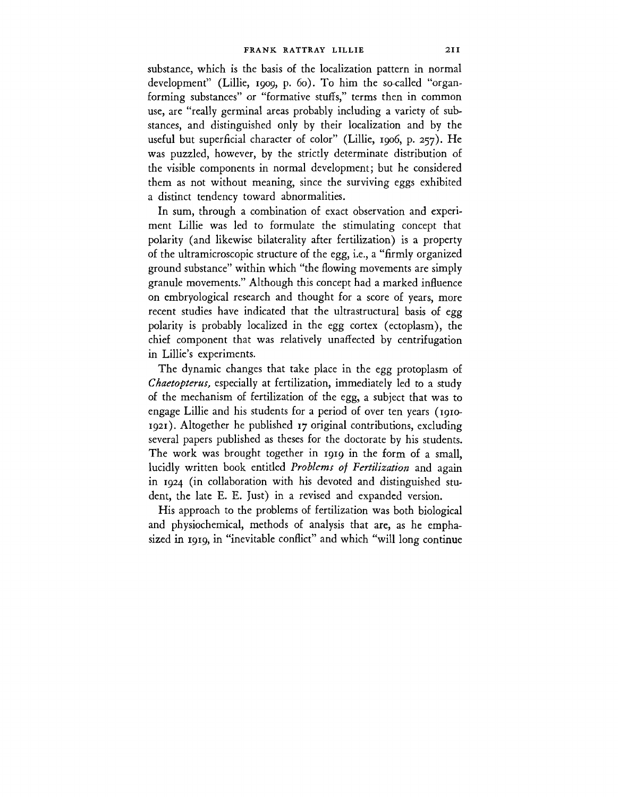substance, which is the basis of the localization pattern in normal development" (Lillie, 1909, p. 60). To him the so-called "organforming substances" or "formative stuffs," terms then in common use, are "really germinal areas probably including a variety of substances, and distinguished only by their localization and by the useful but superficial character of color" (Lillie, 1906, p. 257). He was puzzled, however, by the strictly determinate distribution of the visible components in normal development; but he considered them as not without meaning, since the surviving eggs exhibited a distinct tendency toward abnormalities.

In sum, through a combination of exact observation and experiment Lillie was led to formulate the stimulating concept that polarity (and likewise bilaterality after fertilization) is a property of the ultramicroscopic structure of the egg, i.e., a "firmly organized ground substance" within which "the flowing movements are simply granule movements." Although this concept had a marked influence on embryological research and thought for a score of years, more recent studies have indicated that the ultrastructural basis of egg polarity is probably localized in the egg cortex (ectoplasm), the chief component that was relatively unaffected by centrifugation in Lillie's experiments.

The dynamic changes that take place in the egg protoplasm of *Chaetopterus,* especially at fertilization, immediately led to a study of the mechanism of fertilization of the egg, a subject that was to engage Lillie and his students for a period of over ten years (1910- 1921). Altogether he published 17 original contributions, excluding several papers published as theses for the doctorate by his students. The work was brought together in 1919 in the form of a small, lucidly written book entitled *Problems of Fertilization* and again in 1924 (in collaboration with his devoted and distinguished student, the late E. E. Just) in a revised and expanded version.

His approach to the problems of fertilization was both biological and physiochemical, methods of analysis that are, as he emphasized in 1919, in "inevitable conflict" and which "will long continue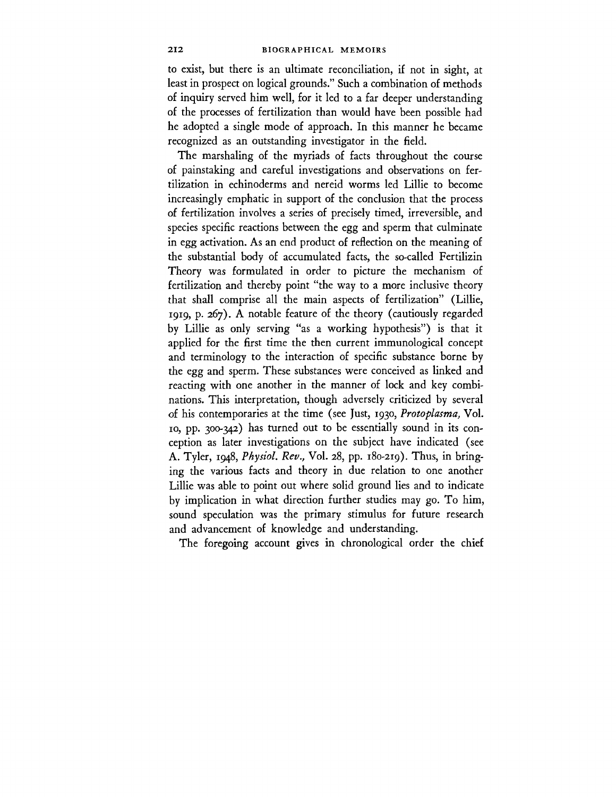to exist, but there is an ultimate reconciliation, if not in sight, at least in prospect on logical grounds." Such a combination of methods of inquiry served him well, for it led to a far deeper understanding of the processes of fertilization than would have been possible had he adopted a single mode of approach. In this manner he became recognized as an outstanding investigator in the field.

The marshaling of the myriads of facts throughout the course of painstaking and careful investigations and observations on fertilization in echinoderms and nereid worms led Lillie to become increasingly emphatic in support of the conclusion that the process of fertilization involves a series of precisely timed, irreversible, and species specific reactions between the egg and sperm that culminate in egg activation. As an end product of reflection on the meaning of the substantial body of accumulated facts, the so-called Fertilizin Theory was formulated in order to picture the mechanism of fertilization and thereby point "the way to a more inclusive theory that shall comprise all the main aspects of fertilization" (Lillie, 1919, p. 267). A notable feature of the theory (cautiously regarded by Lillie as only serving "as a working hypothesis") is that it applied for the first time the then current immunological concept and terminology to the interaction of specific substance borne by the egg and sperm. These substances were conceived as linked and reacting with one another in the manner of lock and key combinations. This interpretation, though adversely criticized by several of his contemporaries at the time (see Just, 1930, *Protoplasma,* Vol. 10, pp. 300-342) has turned out to be essentially sound in its conception as later investigations on the subject have indicated (see A. Tyler, 1948, *Physiol. Rev.,* Vol. 28, pp. 180-219). Thus, in bringing the various facts and theory in due relation to one another Lillie was able to point out where solid ground lies and to indicate by implication in what direction further studies may go. To him, sound speculation was the primary stimulus for future research and advancement of knowledge and understanding.

The foregoing account gives in chronological order the chief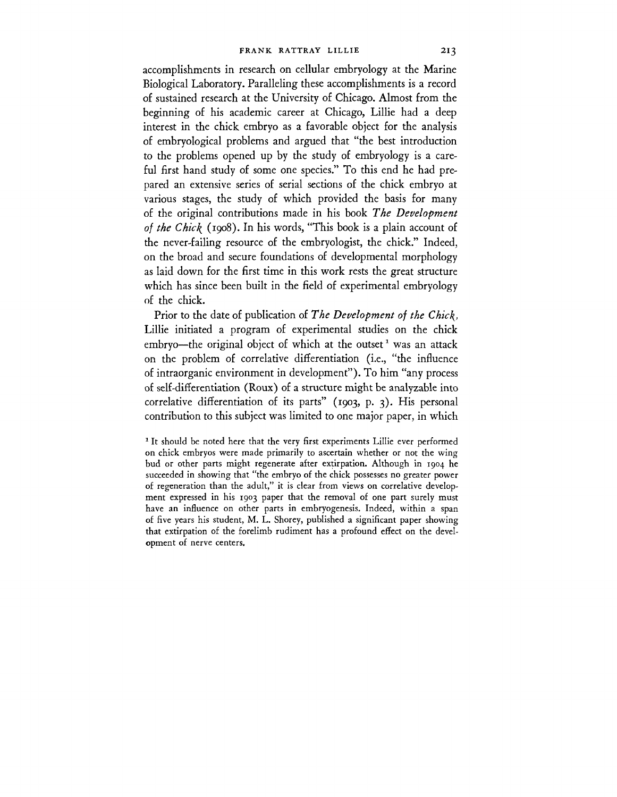accomplishments in research on cellular embryology at the Marine Biological Laboratory. Paralleling these accomplishments is a record of sustained research at the University of Chicago. Almost from the beginning of his academic career at Chicago, Lillie had a deep interest in the chick embryo as a favorable object for the analysis of embryological problems and argued that "the best introduction to the problems opened up by the study of embryology is a careful first hand study of some one species." To this end he had prepared an extensive series of serial sections of the chick embryo at various stages, the study of which provided the basis for many of the original contributions made in his book *The Development of the Chic\* (1908). In his words, "This book is a plain account of the never-failing resource of the embryologist, the chick." Indeed, on the broad and secure foundations of developmental morphology as laid down for the first time in this work rests the great structure which has since been built in the field of experimental embryology of the chick.

Prior to the date of publication of *The Development of the Chic\,* Lillie initiated a program of experimental studies on the chick embryo—the original object of which at the outset<sup>1</sup> was an attack on the problem of correlative differentiation (i.e., "the influence of intraorganic environment in development"). To him "any process of self-differentiation (Roux) of a structure might be analyzable into correlative differentiation of its parts" (1903, p. 3). His personal contribution to this subject was limited to one major paper, in which

<sup>1</sup> It should be noted here that the very first experiments Lillie ever performed on chick embryos were made primarily to ascertain whether or not the wing bud or other parts might regenerate after extirpation. Although in 1904 he succeeded in showing that "the embryo of the chick possesses no greater power of regeneration than the adult," it is clear from views on correlative development expressed in his 1903 paper that the removal of one part surely must have an influence on other parts in embryogenesis. Indeed, within a span of five years his student, M. L. Shorey, published a significant paper showing that extirpation of the forelimb rudiment has a profound effect on the development of nerve centers.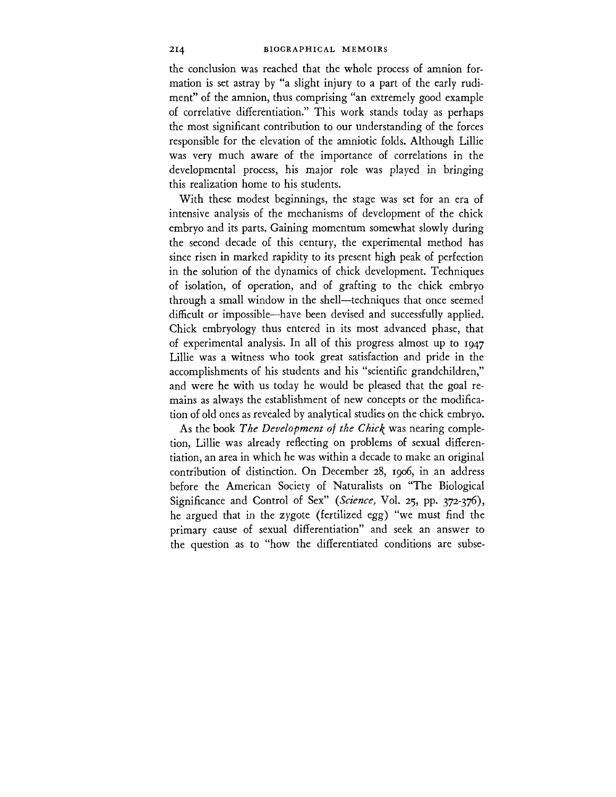the conclusion was reached that the whole process of amnion formation is set astray by "a slight injury to a part of the early rudiment" of the amnion, thus comprising "an extremely good example of correlative differentiation." This work stands today as perhaps the most significant contribution to our understanding of the forces responsible for the elevation of the amniotic folds. Although Lillie was very much aware of the importance of correlations in the developmental process, his major role was played in bringing this realization home to his students.

With these modest beginnings, the stage was set for an era of intensive analysis of the mechanisms of development of the chick embryo and its parts. Gaining momentum somewhat slowly during the second decade of this century, the experimental method has since risen in marked rapidity to its present high peak of perfection in the solution of the dynamics of chick development. Techniques of isolation, of operation, and of grafting to the chick embryo through a small window in the shell—techniques that once seemed difficult or impossible—have been devised and successfully applied. Chick embryology thus entered in its most advanced phase, that of experimental analysis. In all of this progress almost up to 1947 Lillie was a witness who took great satisfaction and pride in the accomplishments of his students and his "scientific grandchildren," and were he with us today he would be pleased that the goal remains as always the establishment of new concepts or the modification of old ones as revealed by analytical studies on the chick embryo.

As the book *The Development of the Chick* was nearing completion, Lillie was already reflecting on problems of sexual differentiation, an area in which he was within a decade to make an original contribution of distinction. On December 28, 1906, in an address before the American Society of Naturalists on "The Biological Significance and Control of Sex" *(Science,* Vol. 25, pp. 372-376), he argued that in the zygote (fertilized egg) "we must find the primary cause of sexual differentiation" and seek an answer to the question as to "how the differentiated conditions are subse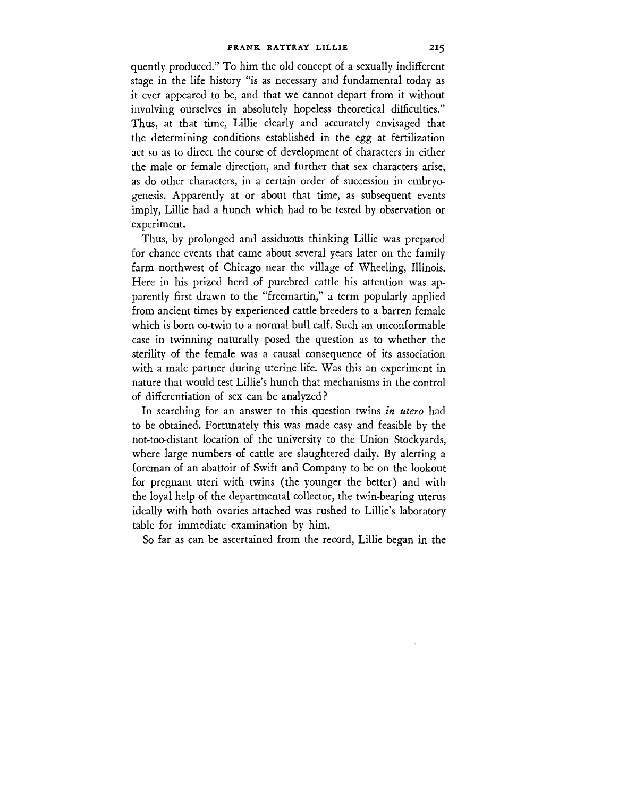quently produced." To him the old concept of a sexually indifferent stage in the life history "is as necessary and fundamental today as it ever appeared to be, and that we cannot depart from it without involving ourselves in absolutely hopeless theoretical difficulties." Thus, at that time, Lillie clearly and accurately envisaged that the determining conditions established in the egg at fertilization act so as to direct the course of development of characters in either the male or female direction, and further that sex characters arise, as do other characters, in a certain order of succession in embryogenesis. Apparently at or about that time, as subsequent events imply, Lillie had a hunch which had to be tested by observation or experiment.

Thus, by prolonged and assiduous thinking Lillie was prepared for chance events that came about several years later on the family farm northwest of Chicago near the village of Wheeling, Illinois. Here in his prized herd of purebred cattle his attention was apparently first drawn to the "freemartin," a term popularly applied from ancient times by experienced cattle breeders to a barren female which is born co-twin to a normal bull calf. Such an unconformable case in twinning naturally posed the question as to whether the sterility of the female was a causal consequence of its association with a male partner during uterine life. Was this an experiment in nature that would test Lillie's hunch that mechanisms in the control of differentiation of sex can be analyzed?

In searching for an answer to this question twins *in utero* had to be obtained. Fortunately this was made easy and feasible by the not-too-distant location of the university to the Union Stockyards, where large numbers of cattle are slaughtered daily. By alerting a foreman of an abattoir of Swift and Company to be on the lookout for pregnant uteri with twins (the younger the better) and with the loyal help of the departmental collector, the twin-bearing uterus ideally with both ovaries attached was rushed to Lillie's laboratory table for immediate examination by him.

So far as can be ascertained from the record, Lillie began in the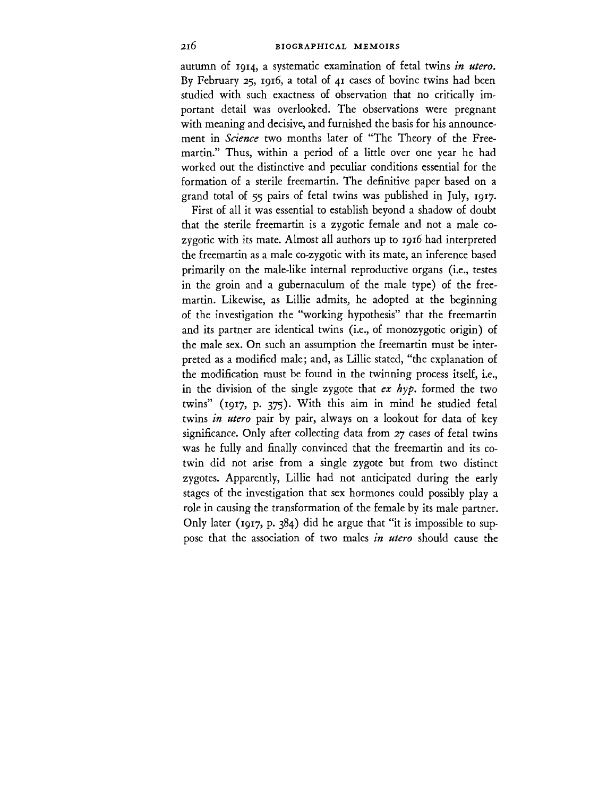autumn of 1914, a systematic examination of fetal twins *in utero.* By February 25, 1916, a total of 41 cases of bovine twins had been studied with such exactness of observation that no critically important detail was overlooked. The observations were pregnant with meaning and decisive, and furnished the basis for his announcement in *Science* two months later of "The Theory of the Freemartin." Thus, within a period of a little over one year he had worked out the distinctive and peculiar conditions essential for the formation of a sterile freemartin. The definitive paper based on a grand total of 55 pairs of fetal twins was published in July, 1917.

First of all it was essential to establish beyond a shadow of doubt that the sterile freemartin is a zygotic female and not a male cozygotic with its mate. Almost all authors up to 1916 had interpreted the freemartin as a male co-zygotic with its mate, an inference based primarily on the male-like internal reproductive organs (i.e., testes in the groin and a gubernaculum of the male type) of the freemartin. Likewise, as Lillie admits, he adopted at the beginning of the investigation the "working hypothesis" that the freemartin and its partner are identical twins (i.e., of monozygotic origin) of the male sex. On such an assumption the freemartin must be interpreted as a modified male; and, as Lillie stated, "the explanation of the modification must be found in the twinning process itself, i.e., in the division of the single zygote that *ex hyp.* formed the two twins" (1917, p. 375). With this aim in mind he studied fetal twins *in utero* pair by pair, always on a lookout for data of key significance. Only after collecting data from 27 cases of fetal twins was he fully and finally convinced that the freemartin and its cotwin did not arise from a single zygote but from two distinct zygotes. Apparently, Lillie had not anticipated during the early stages of the investigation that sex hormones could possibly play a role in causing the transformation of the female by its male partner. Only later (1917, p. 384) did he argue that "it is impossible to suppose that the association of two males *in utero* should cause the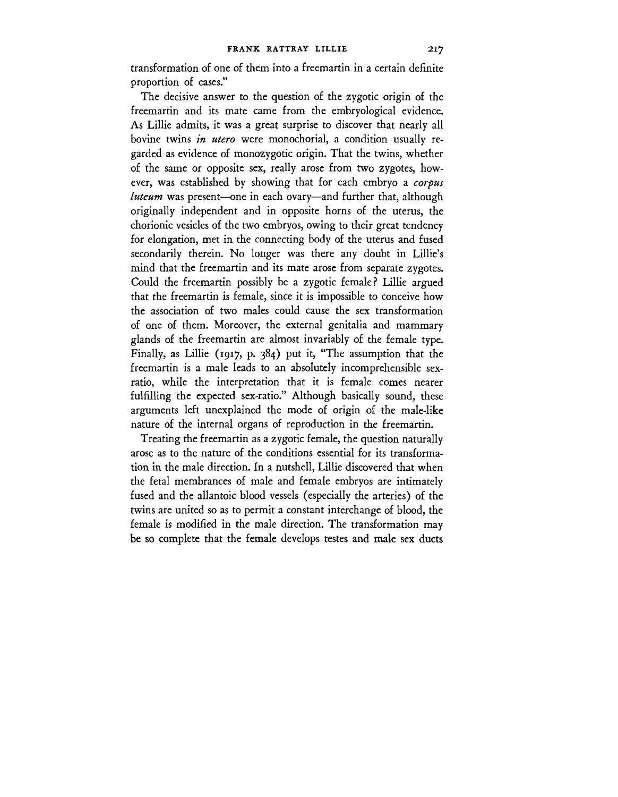transformation of one of them into a freemartin in a certain definite proportion of cases."

The decisive answer to the question of the zygotic origin of the freemartin and its mate came from the embryological evidence. As Lillie admits, it was a great surprise to discover that nearly all bovine twins *in utero* were monochorial, a condition usually regarded as evidence of monozygotic origin. That the twins, whether of the same or opposite sex, really arose from two zygotes, however, was established by showing that for each embryo a *corpus luteum* was present—one in each ovary—and further that, although originally independent and in opposite horns of the uterus, the chorionic vesicles of the two embryos, owing to their great tendency for elongation, met in the connecting body of the uterus and fused secondarily therein. No longer was there any doubt in Lillie's mind that the freemartin and its mate arose from separate zygotes. Could the freemartin possibly be a zygotic female? Lillie argued that the freemartin is female, since it is impossible to conceive how the association of two males could cause the sex transformation of one of them. Moreover, the external genitalia and mammary glands of the freemartin are almost invariably of the female type. Finally, as Lillie (1917, p. 384) put it, "The assumption that the freemartin is a male leads to an absolutely incomprehensible sexratio, while the interpretation that it is female comes nearer fulfilling the expected sex-ratio." Although basically sound, these arguments left unexplained the mode of origin of the male-like nature of the internal organs of reproduction in the freemartin.

Treating the freemartin as a zygotic female, the question naturally arose as to the nature of the conditions essential for its transformation in the male direction. In a nutshell, Lillie discovered that when the fetal membrances of male and female embryos are intimately fused and the allantoic blood vessels (especially the arteries) of the twins are united so as to permit a constant interchange of blood, the female is modified in the male direction. The transformation may be so complete that the female develops testes and male sex ducts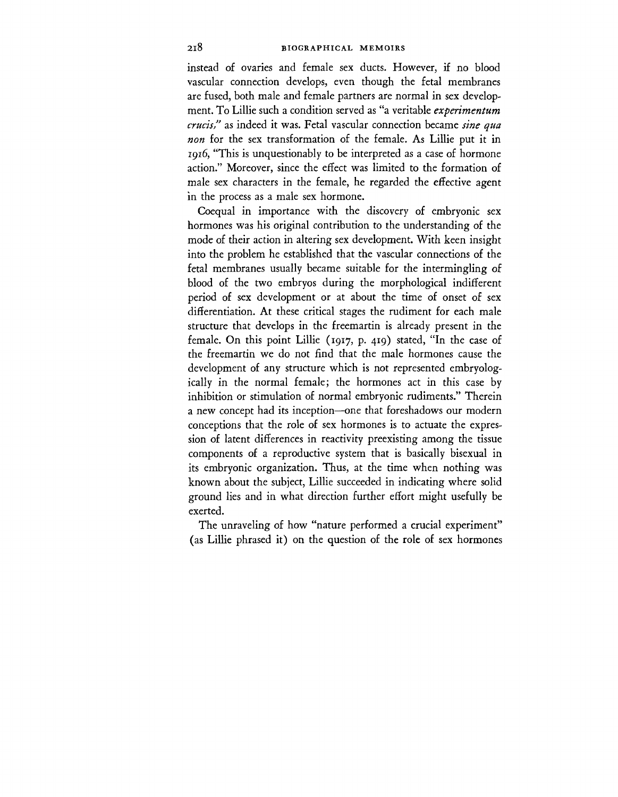instead of ovaries and female sex ducts. However, if no blood vascular connection develops, even though the fetal membranes are fused, both male and female partners are normal in sex development. To Lillie such a condition served as "a veritable *experimentum crucis,"* as indeed it was. Fetal vascular connection became *sine qua non* for the sex transformation of the female. As Lillie put it in 1916, "This is unquestionably to be interpreted as a case of hormone action." Moreover, since the effect was limited to the formation of male sex characters in the female, he regarded the effective agent in the process as a male sex hormone.

Coequal in importance with the discovery of embryonic sex hormones was his original contribution to the understanding of the mode of their action in altering sex development. With keen insight into the problem he established that the vascular connections of the fetal membranes usually became suitable for the intermingling of blood of the two embryos during the morphological indifferent period of sex development or at about the time of onset of sex differentiation. At these critical stages the rudiment for each male structure that develops in the freemartin is already present in the female. On this point Lillie (1917, p. 419) stated, "In the case of the freemartin we do not find that the male hormones cause the development of any structure which is not represented embryologically in the normal female; the hormones act in this case by inhibition or stimulation of normal embryonic rudiments." Therein a new concept had its inception—one that foreshadows our modern conceptions that the role of sex hormones is to actuate the expression of latent differences in reactivity preexisting among the tissue components of a reproductive system that is basically bisexual in its embryonic organization. Thus, at the time when nothing was known about the subject, Lillie succeeded in indicating where solid ground lies and in what direction further effort might usefully be exerted.

The unraveling of how "nature performed a crucial experiment" (as Lillie phrased it) on the question of the role of sex hormones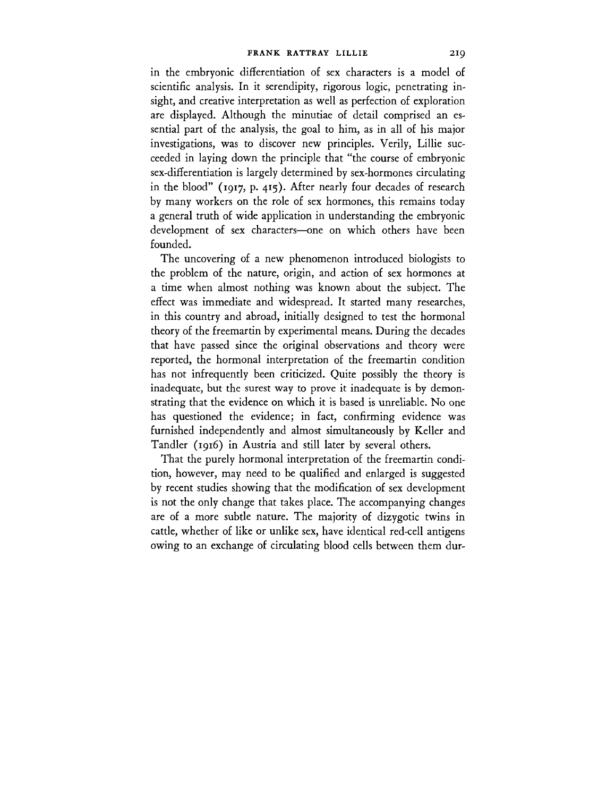in the embryonic differentiation of sex characters is a model of scientific analysis. In it serendipity, rigorous logic, penetrating insight, and creative interpretation as well as perfection of exploration are displayed. Although the minutiae of detail comprised an essential part of the analysis, the goal to him, as in all of his major investigations, was to discover new principles. Verily, Lillie succeeded in laying down the principle that "the course of embryonic sex-differentiation is largely determined by sex-hormones circulating in the blood" (1917, p. 415). After nearly four decades of research by many workers on the role of sex hormones, this remains today a general truth of wide application in understanding the embryonic development of sex characters—one on which others have been founded.

The uncovering of a new phenomenon introduced biologists to the problem of the nature, origin, and action of sex hormones at a time when almost nothing was known about the subject. The effect was immediate and widespread. It started many researches, in this country and abroad, initially designed to test the hormonal theory of the freemartin by experimental means. During the decades that have passed since the original observations and theory were reported, the hormonal interpretation of the freemartin condition has not infrequently been criticized. Quite possibly the theory is inadequate, but the surest way to prove it inadequate is by demonstrating that the evidence on which it is based is unreliable. No one has questioned the evidence; in fact, confirming evidence was furnished independently and almost simultaneously by Keller and Tandler (1916) in Austria and still later by several others.

That the purely hormonal interpretation of the freemartin condition, however, may need to be qualified and enlarged is suggested by recent studies showing that the modification of sex development is not the only change that takes place. The accompanying changes are of a more subtle nature. The majority of dizygotic twins in cattle, whether of like or unlike sex, have identical red-cell antigens owing to an exchange of circulating blood cells between them dur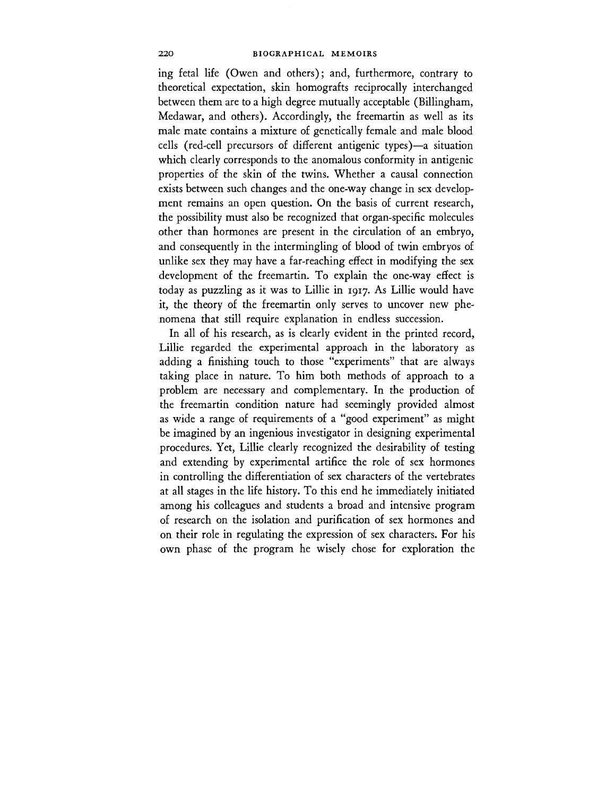ing fetal life (Owen and others); and, furthermore, contrary to theoretical expectation, skin homografts reciprocally interchanged between them are to a high degree mutually acceptable (Billingham, Medawar, and others). Accordingly, the freemartin as well as its male mate contains a mixture of genetically female and male blood cells (red-cell precursors of different antigenic types)—a situation which clearly corresponds to the anomalous conformity in antigenic properties of the skin of the twins. Whether a causal connection exists between such changes and the one-way change in sex development remains an open question. On the basis of current research, the possibility must also be recognized that organ-specific molecules other than hormones are present in the circulation of an embryo, and consequently in the intermingling of blood of twin embryos of unlike sex they may have a far-reaching effect in modifying the sex development of the freemartin. To explain the one-way effect is today as puzzling as it was to Lillie in 1917. As Lillie would have it, the theory of the freemartin only serves to uncover new phenomena that still require explanation in endless succession.

In all of his research, as is clearly evident in the printed record, Lillie regarded the experimental approach in the laboratory as adding a finishing touch to those "experiments" that are always taking place in nature. To him both methods of approach to a problem are necessary and complementary. In the production of the freemartin condition nature had seemingly provided almost as wide a range of requirements of a "good experiment" as might be imagined by an ingenious investigator in designing experimental procedures. Yet, Lillie clearly recognized the desirability of testing and extending by experimental artifice the role of sex hormones in controlling the differentiation of sex characters of the vertebrates at all stages in the life history. To this end he immediately initiated among his colleagues and students a broad and intensive program of research on the isolation and purification of sex hormones and on their role in regulating the expression of sex characters. For his own phase of the program he wisely chose for exploration the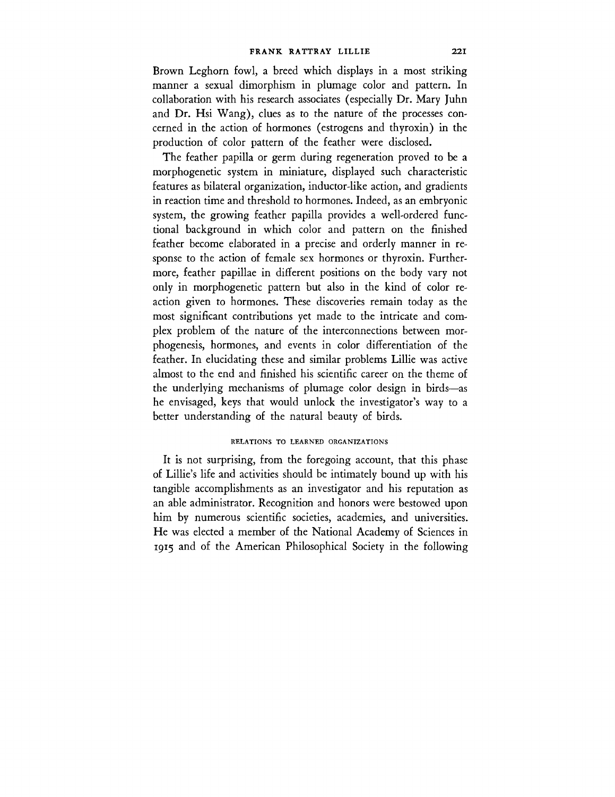Brown Leghorn fowl, a breed which displays in a most striking manner a sexual dimorphism in plumage color and pattern. In collaboration with his research associates (especially Dr. Mary Juhn and Dr. Hsi Wang), clues as to the nature of the processes concerned in the action of hormones (estrogens and thyroxin) in the production of color pattern of the feather were disclosed.

The feather papilla or germ during regeneration proved to be a morphogenetic system in miniature, displayed such characteristic features as bilateral organization, inductor-like action, and gradients in reaction time and threshold to hormones. Indeed, as an embryonic system, the growing feather papilla provides a well-ordered functional background in which color and pattern on the finished feather become elaborated in a precise and orderly manner in response to the action of female sex hormones or thyroxin. Furthermore, feather papillae in different positions on the body vary not only in morphogenetic pattern but also in the kind of color reaction given to hormones. These discoveries remain today as the most significant contributions yet made to the intricate and complex problem of the nature of the interconnections between morphogenesis, hormones, and events in color differentiation of the feather. In elucidating these and similar problems Lillie was active almost to the end and finished his scientific career on the theme of the underlying mechanisms of plumage color design in birds—as he envisaged, keys that would unlock the investigator's way to a better understanding of the natural beauty of birds.

# RELATIONS TO LEARNED ORGANIZATIONS

It is not surprising, from the foregoing account, that this phase of Lillie's life and activities should be intimately bound up with his tangible accomplishments as an investigator and his reputation as an able administrator. Recognition and honors were bestowed upon him by numerous scientific societies, academies, and universities. He was elected a member of the National Academy of Sciences in 1915 and of the American Philosophical Society in the following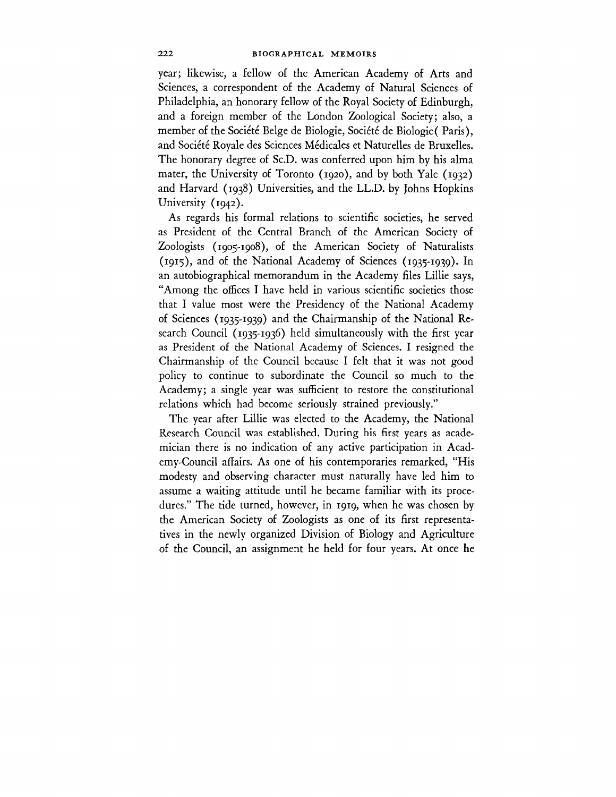year; likewise, a fellow of the American Academy of Arts and Sciences, a correspondent of the Academy of Natural Sciences of Philadelphia, an honorary fellow of the Royal Society of Edinburgh, and a foreign member of the London Zoological Society; also, a member of the Société Belge de Biologie, Société de Biologie (Paris), and Société Royale des Sciences Médicales et Naturelles de Bruxelles. The honorary degree of Sc.D. was conferred upon him by his alma mater, the University of Toronto (1920), and by both Yale (1932) and Harvard (1938) Universities, and the LL.D. by Johns Hopkins University (1942).

As regards his formal relations to scientific societies, he served as President of the Central Branch of the American Society of Zoologists (1905-1908), of the American Society of Naturalists (1915), and of the National Academy of Sciences (1935-1939). In an autobiographical memorandum in the Academy files Lillie says, "Among the offices I have held in various scientific societies those that I value most were the Presidency of the National Academy of Sciences (1935-1939) and the Chairmanship of the National Research Council (1935-1936) held simultaneously with the first year as President of the National Academy of Sciences. I resigned the Chairmanship of the Council because I felt that it was not good policy to continue to subordinate the Council so much to the Academy; a single year was sufficient to restore the constitutional relations which had become seriously strained previously."

The year after Lillie was elected to the Academy, the National Research Council was established. During his first years as academician there is no indication of any active participation in Academy-Council affairs. As one of his contemporaries remarked, "His modesty and observing character must naturally have led him to assume a waiting attitude until he became familiar with its procedures." The tide turned, however, in 1919, when he was chosen by the American Society of Zoologists as one of its first representatives in the newly organized Division of Biology and Agriculture of the Council, an assignment he held for four years. At once he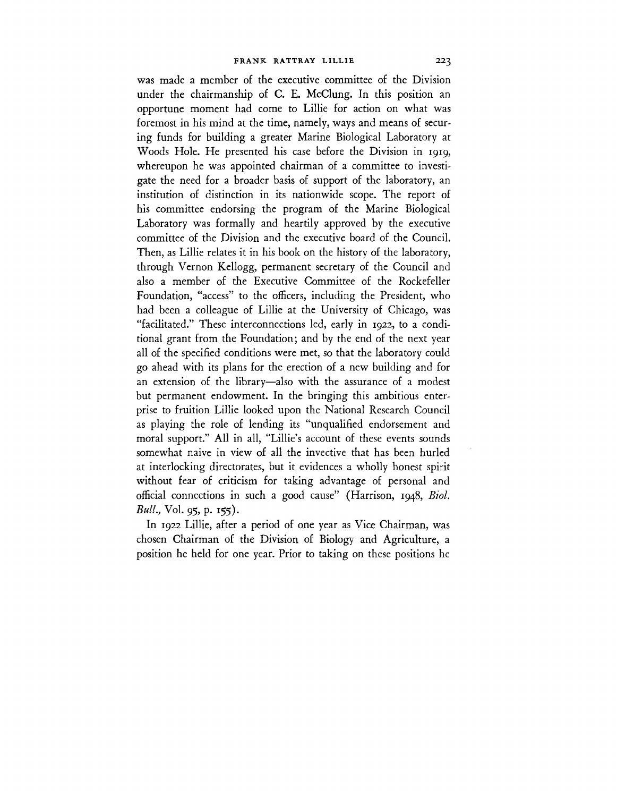was made a member of the executive committee of the Division under the chairmanship of C. E. McClung. In this position an opportune moment had come to Lillie for action on what was foremost in his mind at the time, namely, ways and means of securing funds for building a greater Marine Biological Laboratory at Woods Hole. He presented his case before the Division in 1919, whereupon he was appointed chairman of a committee to investigate the need for a broader basis of support of the laboratory, an institution of distinction in its nationwide scope. The report of his committee endorsing the program of the Marine Biological Laboratory was formally and heartily approved by the executive committee of the Division and the executive board of the Council. Then, as Lillie relates it in his book on the history of the laboratory, through Vernon Kellogg, permanent secretary of the Council and also a member of the Executive Committee of the Rockefeller Foundation, "access" to the officers, including the President, who had been a colleague of Lillie at the University of Chicago, was "facilitated." These interconnections led, early in 1922, to a conditional grant from the Foundation; and by the end of the next year all of the specified conditions were met, so that the laboratory could go ahead with its plans for the erection of a new building and for an extension of the library—also with the assurance of a modest but permanent endowment. In the bringing this ambitious enterprise to fruition Lillie looked upon the National Research Council as playing the role of lending its "unqualified endorsement and moral support." All in all, "Lillie's account of these events sounds somewhat naive in view of all the invective that has been hurled at interlocking directorates, but it evidences a wholly honest spirit without fear of criticism for taking advantage of personal and official connections in such a good cause" (Harrison, 1948, *Biol. Bull,* Vol. 95, p. 155).

In 1922 Lillie, after a period of one year as Vice Chairman, was chosen Chairman of the Division of Biology and Agriculture, a position he held for one year. Prior to taking on these positions he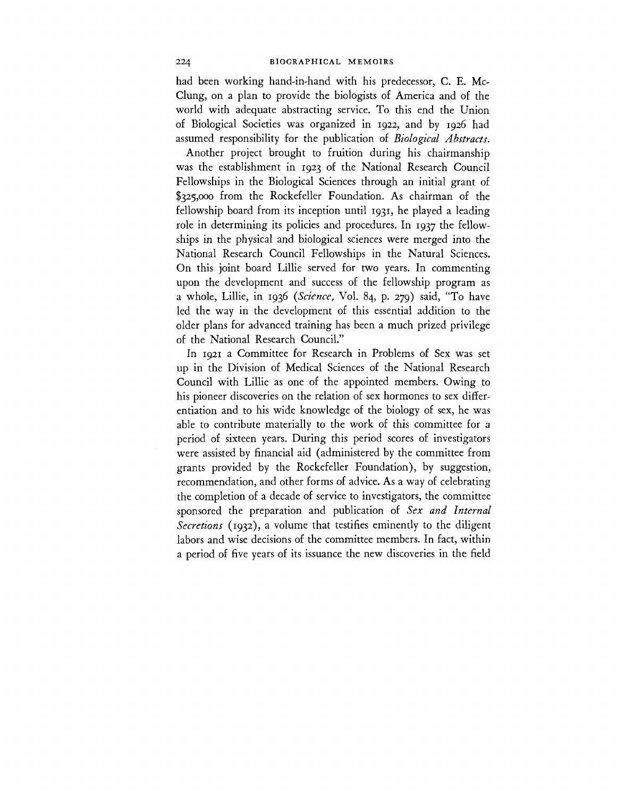had been working hand-in-hand with his predecessor, C. E. Mc-Clung, on a plan to provide the biologists of America and of the world with adequate abstracting service. To this end the Union of Biological Societies was organized in 1922, and by 1926 had assumed responsibility for the publication of *Biological Abstracts.*

Another project brought to fruition during his chairmanship was the establishment in 1923 of the National Research Council Fellowships in the Biological Sciences through an initial grant of \$325,000 from the Rockefeller Foundation. As chairman of the fellowship board from its inception until 1931, he played a leading role in determining its policies and procedures. In 1937 the fellowships in the physical and biological sciences were merged into the National Research Council Fellowships in the Natural Sciences. On this joint board Lillie served for two years. In commenting upon the development and success of the fellowship program as a whole, Lillie, in 1936 *(Science,* Vol. 84, p. 279) said, "To have led the way in the development of this essential addition to the older plans for advanced training has been a much prized privilege of the National Research Council."

In 1921 a Committee for Research in Problems of Sex was set up in the Division of Medical Sciences of the National Research Council with Lillie as one of the appointed members. Owing to his pioneer discoveries on the relation of sex hormones to sex differentiation and to his wide knowledge of the biology of sex, he was able to contribute materially to the work of this committee for a period of sixteen years. During this period scores of investigators were assisted by financial aid (administered by the committee from grants provided by the Rockefeller Foundation), by suggestion, recommendation, and other forms of advice. As a way of celebrating the completion of a decade of service to investigators, the committee sponsored the preparation and publication of *Sex and Internal Secretions* (1932), a volume that testifies eminently to the diligent labors and wise decisions of the committee members. In fact, within a period of five years of its issuance the new discoveries in the field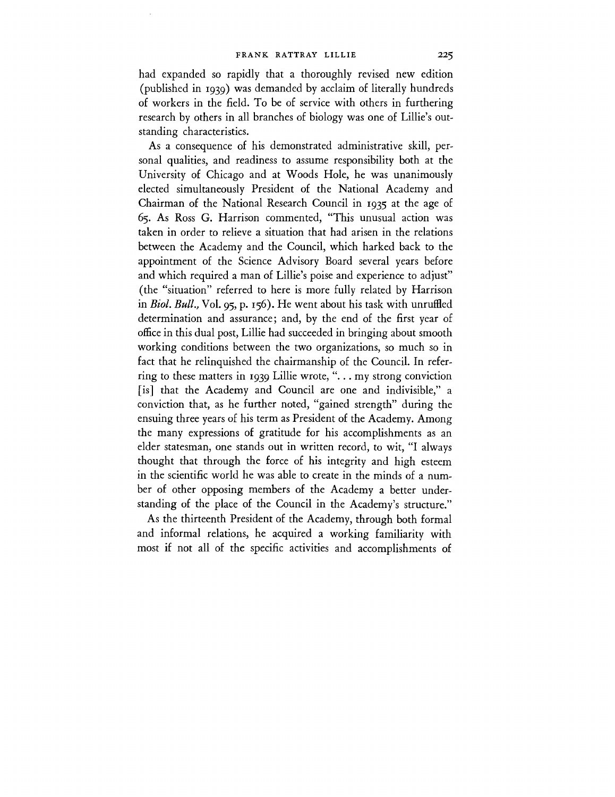had expanded so rapidly that a thoroughly revised new edition (published in 1939) was demanded by acclaim of literally hundreds of workers in the field. To be of service with others in furthering research by others in all branches of biology was one of Lillie's outstanding characteristics.

As a consequence of his demonstrated administrative skill, personal qualities, and readiness to assume responsibility both at the University of Chicago and at Woods Hole, he was unanimously elected simultaneously President of the National Academy and Chairman of the National Research Council in 1935 at the age of 65. As Ross G. Harrison commented, "This unusual action was taken in order to relieve a situation that had arisen in the relations between the Academy and the Council, which harked back to the appointment of the Science Advisory Board several years before and which required a man of Lillie's poise and experience to adjust" (the "situation" referred to here is more fully related by Harrison in *Biol. Bull.,* Vol. 95, p. 156). He went about his task with unruffled determination and assurance; and, by the end of the first year of office in this dual post, Lillie had succeeded in bringing about smooth working conditions between the two organizations, so much so in fact that he relinquished the chairmanship of the Council. In referring to these matters in 1939 Lillie wrote, "... my strong conviction [is] that the Academy and Council are one and indivisible," a conviction that, as he further noted, "gained strength" during the ensuing three years of his term as President of the Academy. Among the many expressions of gratitude for his accomplishments as an elder statesman, one stands out in written record, to wit, "I always thought that through the force of his integrity and high esteem in the scientific world he was able to create in the minds of a number of other opposing members of the Academy a better understanding of the place of the Council in the Academy's structure."

As the thirteenth President of the Academy, through both formal and informal relations, he acquired a working familiarity with most if not all of the specific activities and accomplishments of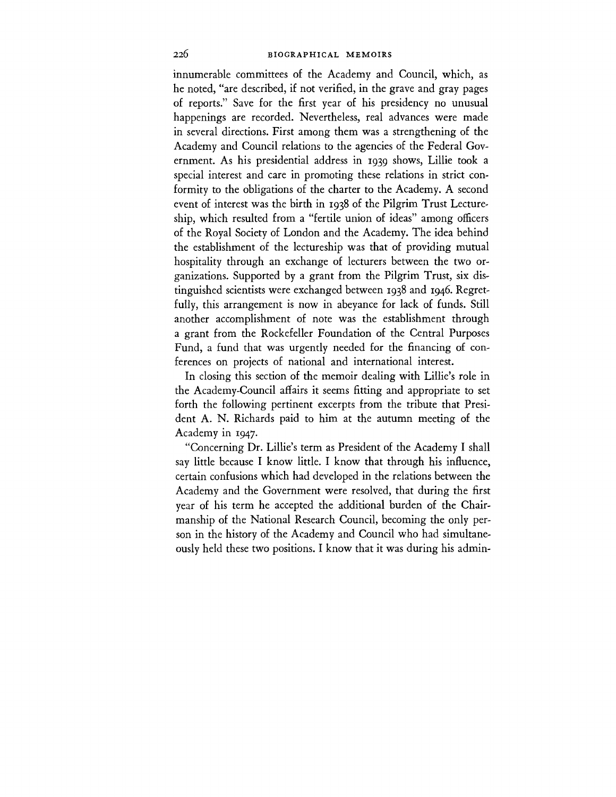innumerable committees of the Academy and Council, which, as he noted, "are described, if not verified, in the grave and gray pages of reports." Save for the first year of his presidency no unusual happenings are recorded. Nevertheless, real advances were made in several directions. First among them was a strengthening of the Academy and Council relations to the agencies of the Federal Government. As his presidential address in 1939 shows, Lillie took a special interest and care in promoting these relations in strict conformity to the obligations of the charter to the Academy. A second event of interest was the birth in 1938 of the Pilgrim Trust Lectureship, which resulted from a "fertile union of ideas" among officers of the Royal Society of London and the Academy. The idea behind the establishment of the lectureship was that of providing mutual hospitality through an exchange of lecturers between the two organizations. Supported by a grant from the Pilgrim Trust, six distinguished scientists were exchanged between 1938 and 1946. Regretfully, this arrangement is now in abeyance for lack of funds. Still another accomplishment of note was the establishment through a grant from the Rockefeller Foundation of the Central Purposes Fund, a fund that was urgently needed for the financing of conferences on projects of national and international interest.

In closing this section of the memoir dealing with Lillie's role in the Academy-Council affairs it seems fitting and appropriate to set forth the following pertinent excerpts from the tribute that President A. N. Richards paid to him at the autumn meeting of the Academy in 1947.

"Concerning Dr. Lillie's term as President of the Academy I shall say little because I know little. I know that through his influence, certain confusions which had developed in the relations between the Academy and the Government were resolved, that during the first year of his term he accepted the additional burden of the Chairmanship of the National Research Council, becoming the only person in the history of the Academy and Council who had simultaneously held these two positions. I know that it was during his admin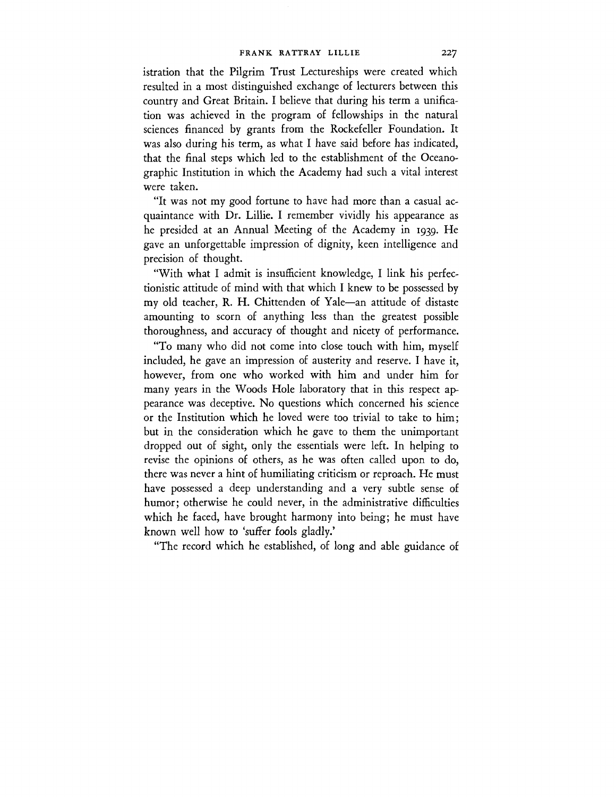istration that the Pilgrim Trust Lectureships were created which resulted in a most distinguished exchange of lecturers between this country and Great Britain. I believe that during his term a unification was achieved in the program of fellowships in the natural sciences financed by grants from the Rockefeller Foundation. It was also during his term, as what I have said before has indicated, that the final steps which led to the establishment of the Oceanographic Institution in which the Academy had such a vital interest were taken.

"It was not my good fortune to have had more than a casual acquaintance with Dr. Lillie. I remember vividly his appearance as he presided at an Annual Meeting of the Academy in 1939. He gave an unforgettable impression of dignity, keen intelligence and precision of thought.

"With what I admit is insufficient knowledge, I link his perfectionistic attitude of mind with that which I knew to be possessed by my old teacher, R. H. Chittenden of Yale—an attitude of distaste amounting to scorn of anything less than the greatest possible thoroughness, and accuracy of thought and nicety of performance.

"To many who did not come into close touch with him, myself included, he gave an impression of austerity and reserve. I have it, however, from one who worked with him and under him for many years in the Woods Hole laboratory that in this respect appearance was deceptive. No questions which concerned his science or the Institution which he loved were too trivial to take to him; but in the consideration which he gave to them the unimportant dropped out of sight, only the essentials were left. In helping to revise the opinions of others, as he was often called upon to do, there was never a hint of humiliating criticism or reproach. He must have possessed a deep understanding and a very subtle sense of humor; otherwise he could never, in the administrative difficulties which he faced, have brought harmony into being; he must have known well how to 'suffer fools gladly.'

"The record which he established, of long and able guidance of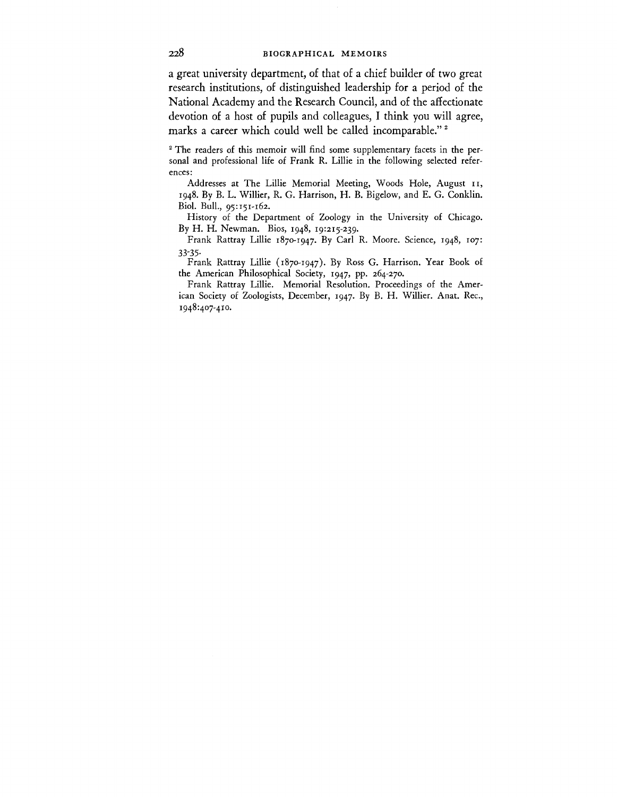a great university department, of that of a chief builder of two great research institutions, of distinguished leadership for a period of the National Academy and the Research Council, and of the affectionate devotion of a host of pupils and colleagues, I think you will agree, marks a career which could well be called incomparable."<sup>2</sup>

<sup>2</sup> The readers of this memoir will find some supplementary facets in the personal and professional life of Frank R. Lillie in the following selected references:

Addresses at The Lillie Memorial Meeting, Woods Hole, August 11, 1948. By B. L. Willier, R. G. Harrison, H. B. Bigelow, and E. G. Conklin. Biol. Bull., 95:151-162.

History of the Department of Zoology in the University of Chicago. By H. H. Newman. Bios, 1948, 19:215-239.

Frank Rattray Lillie 1870-1947. By Carl R. Moore. Science, 1948, 107: 33-35-

Frank Rattray Lillie (1870-1947). By Ross G. Harrison. Year Book of the American Philosophical Society, 1947, pp. 264-270.

Frank Rattray Lillie. Memorial Resolution. Proceedings of the American Society of Zoologists, December, 1947. By B. H. Willier. Anat. Rec, 1948:407-410.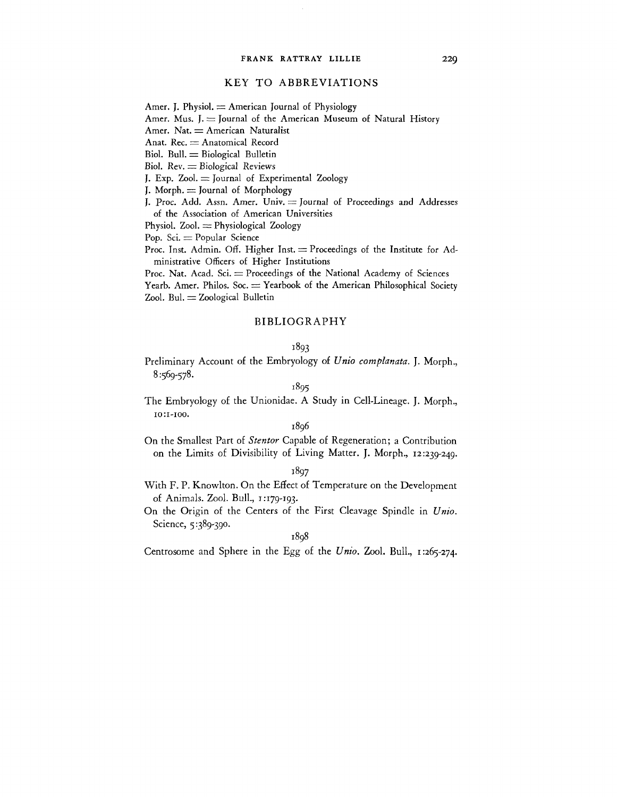# KEY TO ABBREVIATIONS

Amer. J. Physiol.  $=$  American Journal of Physiology

Amer. Mus. J.  $=$  Journal of the American Museum of Natural History

Amer. Nat.  $=$  American Naturalist

Anat. Rec.  $=$  Anatomical Record

 $Biol.$  Bull.  $=$  Biological Bulletin

Biol. Rev. *z=* Biological Reviews

J. Exp.  $Zool. = Journal of Experimental Zoology$ 

J. Morph.  $=$  Journal of Morphology

J. Proc. Add. Assn. Amer. Univ.  $\equiv$  Journal of Proceedings and Addresses of the Association of American Universities

Physiol. Zool.  $=$  Physiological Zoology

Pop.  $\text{Sci.}$   $=$  Popular Science

Proc. Inst. Admin. Off. Higher Inst.  $=$  Proceedings of the Institute for Administrative Officers of Higher Institutions

Proc. Nat. Acad. Sci.  $=$  Proceedings of the National Academy of Sciences Yearb. Amer. Philos.  $Soc = Yearbook$  of the American Philosophical Society  $Zool.$  Bul.  $= Zoological$  Bulletin

# BIBLIOGRAPHY

# 1893

Preliminary Account of the Embryology of *Unio complanata.* J. Morph., 8:569-578.

# 1895

The Embryology of the Unionidae. A Study in Cell-Lineage. J. Morph., 10:1-100.

## 1896

On the Smallest Part of *Stentor* Capable of Regeneration; a Contribution on the Limits of Divisibility of Living Matter. J. Morph., 12:239-249.

## 1897

With F. P. Knowlton. On the Effect of Temperature on the Development of Animals. Zool. Bull., 1:179-193.

On the Origin of the Centers of the First Cleavage Spindle in *Unio.* Science, 5:389-390.

1898

Centrosome and Sphere in the Egg of the *Unio.* Zool. Bull., 1:265-274.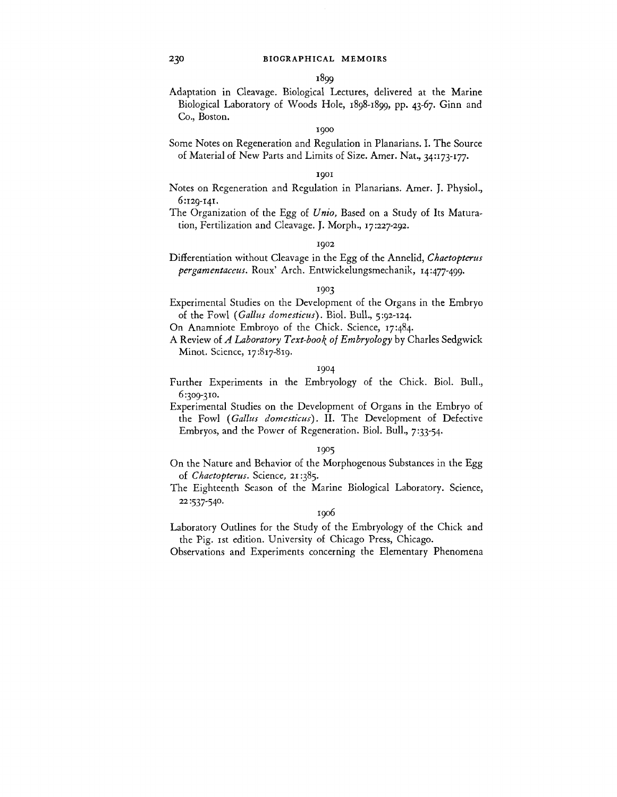Adaptation in Cleavage. Biological Lectures, delivered at the Marine Biological Laboratory of Woods Hole, 1898-1899, pp. 43-67. Ginn and Co., Boston.

1900

Some Notes on Regeneration and Regulation in Planarians. I. The Source of Material of New Parts and Limits of Size. Amer. Nat., 34:173-177.

### 1901

Notes on Regeneration and Regulation in Planarians. Amer. J. Physiol., 6:129-141.

The Organization of the Egg of *Unio,* Based on a Study of Its Maturation, Fertilization and Cleavage. J. Morph., 17:227-292.

#### 1902

Differentiation without Cleavage in the Egg of the Annelid, *Chaetopterus pergamentaceus.* Roux' Arch. Entwickelungsmechanik, 14:477-499.

# 1903

- Experimental Studies on the Development of the Organs in the Embryo of the Fowl *{Gallus domesticus').* Biol. Bull., 5:92-124.
- On Anamniote Embroyo of the Chick. Science, 17:484.
- A Review of *A Laboratory Text-book of Embryology* by Charles Sedgwick Minot. Science, 17:817-819.

## 1904

- Further Experiments in the Embryology of the Chick. Biol. Bull., 6:309-310.
- Experimental Studies on the Development of Organs in the Embryo of the Fowl *(Gallus domesticus).* II. The Development of Defective Embryos, and the Power of Regeneration. Biol. Bull., 7:33-54.

#### 1905

- On the Nature and Behavior of the Morphogenous Substances in the Egg of *Chaetopterus*. Science, 21:385.
- The Eighteenth Season of the Marine Biological Laboratory. Science, 22:537-54°-

## 1906

Laboratory Outlines for the Study of the Embryology of the Chick and the Pig. 1st edition. University of Chicago Press, Chicago.

Observations and Experiments concerning the Elementary Phenomena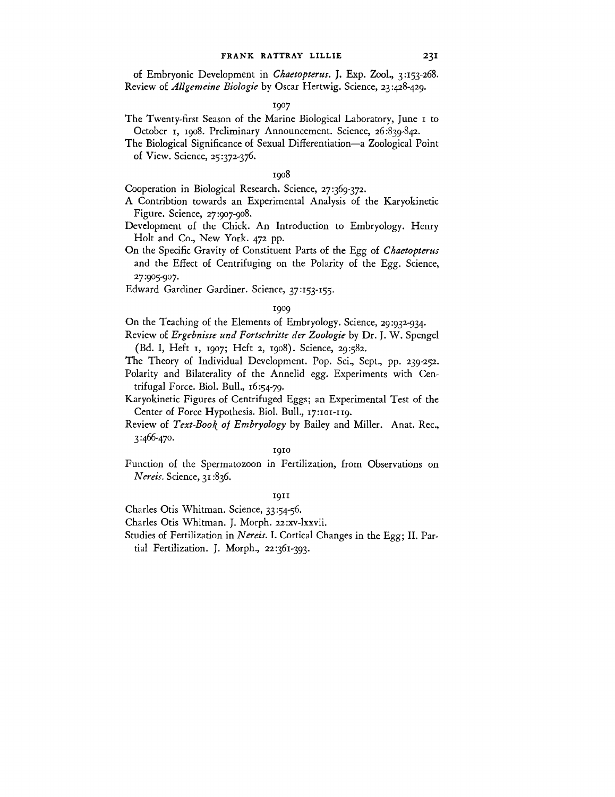of Embryonic Development in *Chaetopterus.* J. Exp. Zool., 3:153-268. Review of *Allgemeine Biologie* by Oscar Hertwig. Science, 23:428-429.

### 1907

- The Twenty-first Season of the Marine Biological Laboratory, June 1 to October 1, 1908. Preliminary Announcement. Science, 26:839-842.
- The Biological Significance of Sexual Differentiation—a Zoological Point of View. Science, 25:372-376.

# 1908

Cooperation in Biological Research. Science, 27:369-372.

- A Contribtion towards an Experimental Analysis of the Karyokinetic Figure. Science, 27:907-908.
- Development of the Chick. An Introduction to Embryology. Henry Holt and Co., New York. 472 pp.
- On the Specific Gravity of Constituent Parts of the Egg of *Chaetopterus* and the Effect of Centrifuging on the Polarity of the Egg. Science, 27:905-907.
- Edward Gardiner Gardiner. Science, 37:153-155.

# 1909

On the Teaching of the Elements of Embryology. Science, 29:932-934.

- Review of *Ergebnisse und Fortschritte der Zoologie* by Dr. J. W. Spengel (Bd. I, Heft 1, 1907; Heft 2, 1908). Science, 29:582.
- The Theory of Individual Development. Pop. Sci., Sept., pp. 239-252.

Polarity and Bilaterality of the Annelid egg. Experiments with Centrifugal Force. Biol. Bull., 16:54-79.

- Karyokinetic Figures of Centrifuged Eggs; an Experimental Test of the Center of Force Hypothesis. Biol. Bull., 17:101-119.
- Review of *Text-Boot^ of Embryology* by Bailey and Miller. Anat. Rec, 3:466-470.

## **1910**

Function of the Spermatozoon in Fertilization, from Observations on *Nereis.* Science, 31:836.

#### **1911**

Charles Otis Whitman. Science, 33:54-56.

Charles Otis Whitman. J. Morph. 22 :xv-lxxvii.

Studies of Fertilization in *Nereis.* I. Cortical Changes in the Egg; II. Par-

tial Fertilization. J. Morph., 22:361-393.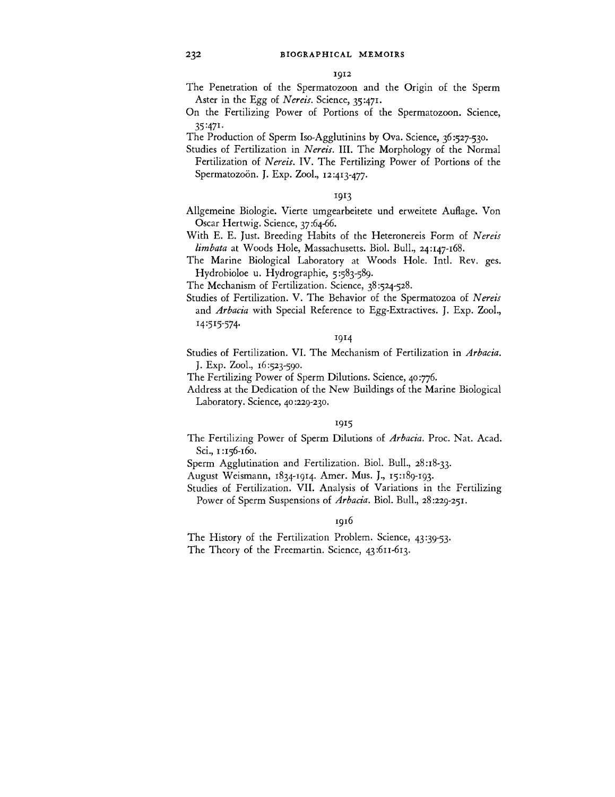The Penetration of the Spermatozoon and the Origin of the Sperm Aster in the Egg of *Nereis.* Science, 35:471.

On the Fertilizing Power of Portions of the Spermatozoon. Science, 35: 47!-

The Production of Sperm Iso-Agglutinins by Ova. Science, 36:527-530.

Studies of Fertilization in *Nereis.* III. The Morphology of the Normal Fertilization of *Nereis.* IV. The Fertilizing Power of Portions of the Spermatozoön. J. Exp. Zool., 12:413-477.

#### 1913

- Allgemeine Biologie. Vierte umgearbeitete und erweitete Auflage. Von Oscar Hertwig. Science, 37:64-66.
- With E. E. Just. Breeding Habits of the Heteronereis Form of *Nereis limbata* at Woods Hole, Massachusetts. Biol. Bull., 24:147-168.
- The Marine Biological Laboratory at Woods Hole. Intl. Rev. ges. Hydrobioloe u. Hydrographie, 5:583-589.

The Mechanism of Fertilization. Science, 38:524-528.

Studies of Fertilization. V. The Behavior of the Spermatozoa of *Nereis* and *Arbacia* with Special Reference to Egg-Extractives. J. Exp. Zool., 14:515-574.

# 1914

Studies of Fertilization. VI. The Mechanism of Fertilization in *Arbacia.* J. Exp. Zool., 16:523-590.

The Fertilizing Power of Sperm Dilutions. Science, 40:776.

Address at the Dedication of the New Buildings of the Marine Biological Laboratory. Science, 40:229-230.

#### 1915

- The Fertilizing Power of Sperm Dilutions of *Arbacia.* Proc. Nat. Acad. Sci., 1:156-160.
- Sperm Agglutination and Fertilization. Biol. Bull., 28:18-33.
- August Weismann, 1834-1914. Amer. Mus. J., 15:189-193.
- Studies of Fertilization. VII. Analysis of Variations in the Fertilizing Power of Sperm Suspensions of *Arbacia.* Biol. Bull., 28:229-251.

## 1916

The History of the Fertilization Problem. Science, 43:39-53.

The Theory of the Freemartin. Science, 43:611-613.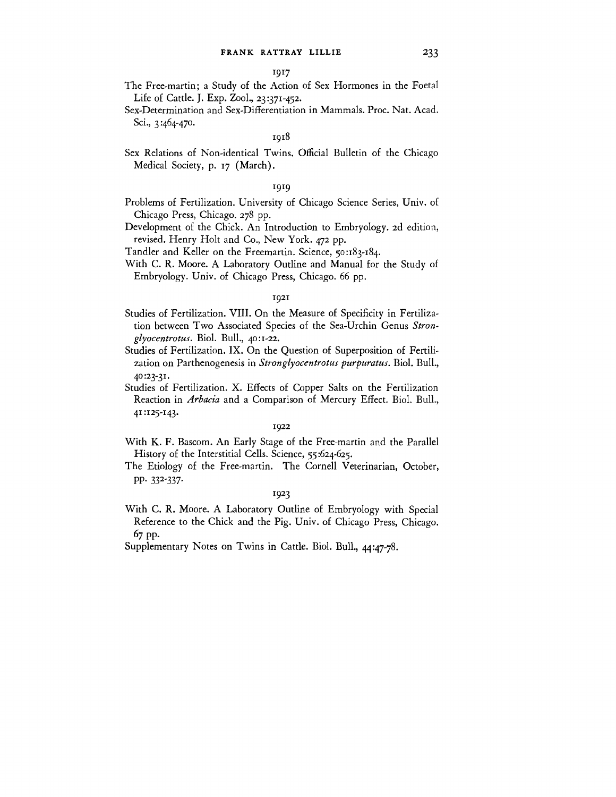- The Free-martin; a Study of the Action of Sex Hormones in the Foetal Life of Cattle. J. Exp. Zool., 23:371-452.
- Sex-Determination and Sex-Differentiation in Mammals. Proc. Nat. Acad. Sci., 3:464-470.

# 1918

Sex Relations of Non-identical Twins. Official Bulletin of the Chicago Medical Society, p. 17 (March).

## 1919

- Problems of Fertilization. University of Chicago Science Series, Univ. of Chicago Press, Chicago. 278 pp.
- Development of the Chick. An Introduction to Embryology. 2d edition, revised. Henry Holt and Co., New York. 472 pp.
- Tandler and Keller on the Freemartin. Science, 50:183-184.
- With C. R. Moore. A Laboratory Outline and Manual for the Study of Embryology. Univ. of Chicago Press, Chicago. 66 pp.

## 1921

- Studies of Fertilization. VIII. On the Measure of Specificity in Fertilization between Two Associated Species of the Sea-Urchin Genus *Strongly ocentrotus.* Biol. Bull., 40:1-22.
- Studies of Fertilization. IX. On the Question of Superposition of Fertilization on Parthenogenesis in *Stronglyocentrotus purpumtus.* Biol. Bull., 40:23-31.
- Studies of Fertilization. X. Effects of Copper Salts on the Fertilization Reaction in *Arbacia* and a Comparison of Mercury Effect. Biol. Bull., 41:125-143.

#### 1922

- With K. F. Bascom. An Early Stage of the Free-martin and the Parallel History of the Interstitial Cells. Science, 55:624-625.
- The Etiology of the Free-martin. The Cornell Veterinarian, October, PP- 33<sup>2</sup> -337-

# T 9 2 3

With C. R. Moore. A Laboratory Outline of Embryology with Special Reference to the Chick and the Pig. Univ. of Chicago Press, Chicago. 67 pp.

Supplementary Notes on Twins in Cattle. Biol. Bull., 44:47-78.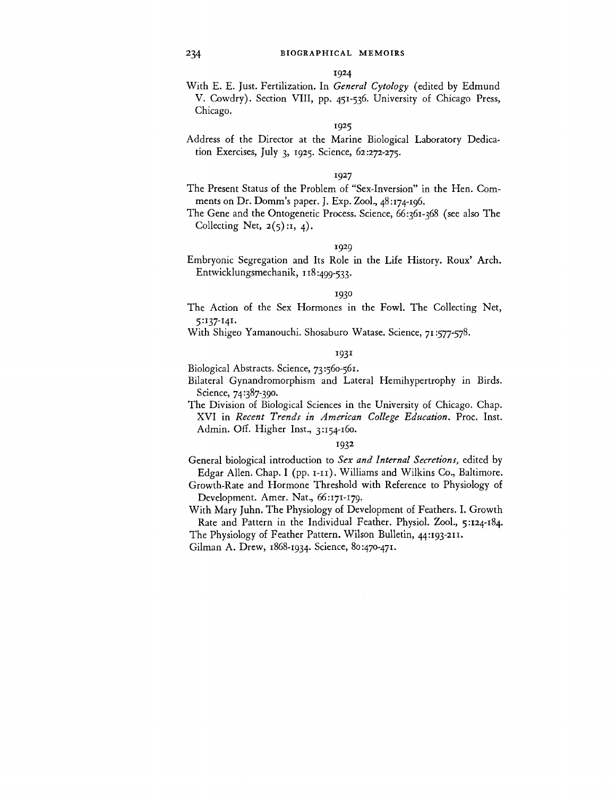With E. E. Just. Fertilization. In *General Cytology* (edited by Edmund V. Cowdry). Section VIII, pp. 451-536. University of Chicago Press, Chicago.

## 1925

Address of the Director at the Marine Biological Laboratory Dedication Exercises, July 3, 1925. Science, 62:272-275.

# 1927

- The Present Status of the Problem of "Sex-Inversion" in the Hen. Comments on Dr. Domm's paper. J. Exp. Zool., 48:174-196.
- The Gene and the Ontogenetic Process. Science, 66:361-368 (see also The Collecting Net,  $2(5)$ :1, 4).

## 1929

Embryonic Segregation and Its Role in the Life History. Roux' Arch. Entwicklungsmechanik, 118:499~533 •

#### 1930

- The Action of the Sex Hormones in the Fowl. The Collecting Net, 5:137-141.
- With Shigeo Yamanouchi. Shosaburo Watase. Science, 71:577-578.

## 1931

Biological Abstracts. Science, 73:560-561.

- Bilateral Gynandromorphism and Lateral Hemihypertrophy in Birds. Science, 74:387-390.
- The Division of Biological Sciences in the University of Chicago. Chap. XVI in *Recent Trends in American College Education.* Proc. Inst. Admin. Off. Higher Inst., 3:154-160.

#### I93<sup>2</sup>

- General biological introduction to *Sex and Internal Secretions,* edited by Edgar Allen. Chap. I (pp. 1-11). Williams and Wilkins Co., Baltimore.
- Growth-Rate and Hormone Threshold with Reference to Physiology of Development. Amer. Nat., 66:171-179.
- With Mary Juhn. The Physiology of Development of Feathers. I. Growth Rate and Pattern in the Individual Feather. Physiol. Zool., 5:124-184.

The Physiology of Feather Pattern. Wilson Bulletin, 44:193-211.

Gilman A. Drew, 1868-1934. Science, 80:470-471.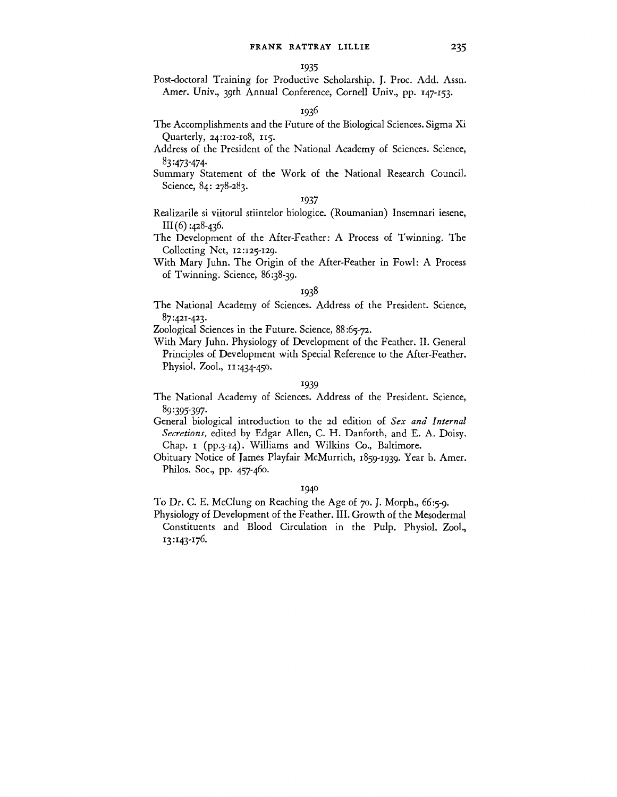Post-doctoral Training for Productive Scholarship. J. Proc. Add. Assn. Amer. Univ., 39th Annual Conference, Cornell Univ., pp. 147-153.

## 1936

- The Accomplishments and the Future of the Biological Sciences. Sigma Xi Quarterly, 24:102-108, 115.
- Address of the President of the National Academy of Sciences. Science, 8 3 -473-474-
- Summary Statement of the Work of the National Research Council. Science, 84: 278-283.

# 1937

- Realizarile si viitorul stiintelor biologice. (Roumanian) Insemnari iesene,  $III(6)$ :428-436.
- The Development of the After-Feather: A Process of Twinning. The Collecting Net, 12:125-129.
- With Mary Juhn. The Origin of the After-Feather in Fowl: A Process of Twinning. Science, 86:38-39.

# 1938

The National Academy of Sciences. Address of the President. Science, 87:421-423.

Zoological Sciences in the Future. Science, 88:65-72.

With Mary Juhn. Physiology of Development of the Feather. II. General Principles of Development with Special Reference to the After-Feather. Physiol. Zool., 11:434-450.

#### 1939

- The National Academy of Sciences. Address of the President. Science, 89:395-397-
- General biological introduction to the 2d edition of *Sex and Internal Secretions,* edited by Edgar Allen, C. H. Danforth, and E. A. Doisy. Chap. 1 (pp.3-14). Williams and Wilkins Co., Baltimore.
- Obituary Notice of James Playfair McMurrich, 1859-1939. Year b. Amer. Philos. Soc, pp. 457-460.

## 1940

- To Dr. C. E. McClung on Reaching the Age of 70. J. Morph., 66:5-9.
- Physiology of Development of the Feather. III. Growth of the Mesodermal Constituents and Blood Circulation in the Pulp. Physiol. Zool., 13:143-176.